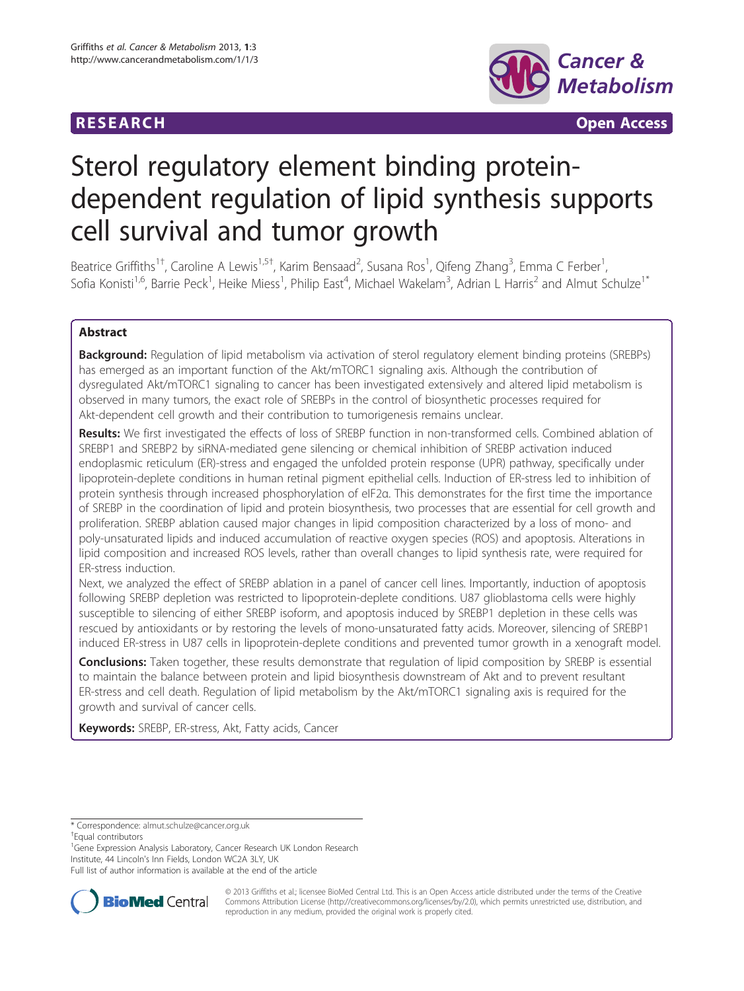# **RESEARCH RESEARCH CONSUMING ACCESS**



# Sterol regulatory element binding proteindependent regulation of lipid synthesis supports cell survival and tumor growth

Beatrice Griffiths<sup>1†</sup>, Caroline A Lewis<sup>1,5†</sup>, Karim Bensaad<sup>2</sup>, Susana Ros<sup>1</sup>, Qifeng Zhang<sup>3</sup>, Emma C Ferber<sup>1</sup> , Sofia Konisti<sup>1,6</sup>, Barrie Peck<sup>1</sup>, Heike Miess<sup>1</sup>, Philip East<sup>4</sup>, Michael Wakelam<sup>3</sup>, Adrian L Harris<sup>2</sup> and Almut Schulze<sup>1\*</sup>

# Abstract

**Background:** Regulation of lipid metabolism via activation of sterol regulatory element binding proteins (SREBPs) has emerged as an important function of the Akt/mTORC1 signaling axis. Although the contribution of dysregulated Akt/mTORC1 signaling to cancer has been investigated extensively and altered lipid metabolism is observed in many tumors, the exact role of SREBPs in the control of biosynthetic processes required for Akt-dependent cell growth and their contribution to tumorigenesis remains unclear.

Results: We first investigated the effects of loss of SREBP function in non-transformed cells. Combined ablation of SREBP1 and SREBP2 by siRNA-mediated gene silencing or chemical inhibition of SREBP activation induced endoplasmic reticulum (ER)-stress and engaged the unfolded protein response (UPR) pathway, specifically under lipoprotein-deplete conditions in human retinal pigment epithelial cells. Induction of ER-stress led to inhibition of protein synthesis through increased phosphorylation of eIF2α. This demonstrates for the first time the importance of SREBP in the coordination of lipid and protein biosynthesis, two processes that are essential for cell growth and proliferation. SREBP ablation caused major changes in lipid composition characterized by a loss of mono- and poly-unsaturated lipids and induced accumulation of reactive oxygen species (ROS) and apoptosis. Alterations in lipid composition and increased ROS levels, rather than overall changes to lipid synthesis rate, were required for ER-stress induction.

Next, we analyzed the effect of SREBP ablation in a panel of cancer cell lines. Importantly, induction of apoptosis following SREBP depletion was restricted to lipoprotein-deplete conditions. U87 glioblastoma cells were highly susceptible to silencing of either SREBP isoform, and apoptosis induced by SREBP1 depletion in these cells was rescued by antioxidants or by restoring the levels of mono-unsaturated fatty acids. Moreover, silencing of SREBP1 induced ER-stress in U87 cells in lipoprotein-deplete conditions and prevented tumor growth in a xenograft model.

**Conclusions:** Taken together, these results demonstrate that regulation of lipid composition by SREBP is essential to maintain the balance between protein and lipid biosynthesis downstream of Akt and to prevent resultant ER-stress and cell death. Regulation of lipid metabolism by the Akt/mTORC1 signaling axis is required for the growth and survival of cancer cells.

Keywords: SREBP, ER-stress, Akt, Fatty acids, Cancer

<sup>1</sup>Gene Expression Analysis Laboratory, Cancer Research UK London Research Institute, 44 Lincoln's Inn Fields, London WC2A 3LY, UK

Full list of author information is available at the end of the article



© 2013 Griffiths et al.; licensee BioMed Central Ltd. This is an Open Access article distributed under the terms of the Creative Commons Attribution License [\(http://creativecommons.org/licenses/by/2.0\)](http://creativecommons.org/licenses/by/2.0), which permits unrestricted use, distribution, and reproduction in any medium, provided the original work is properly cited.

<sup>\*</sup> Correspondence: [almut.schulze@cancer.org.uk](mailto:almut.schulze@cancer.org.uk) †

Equal contributors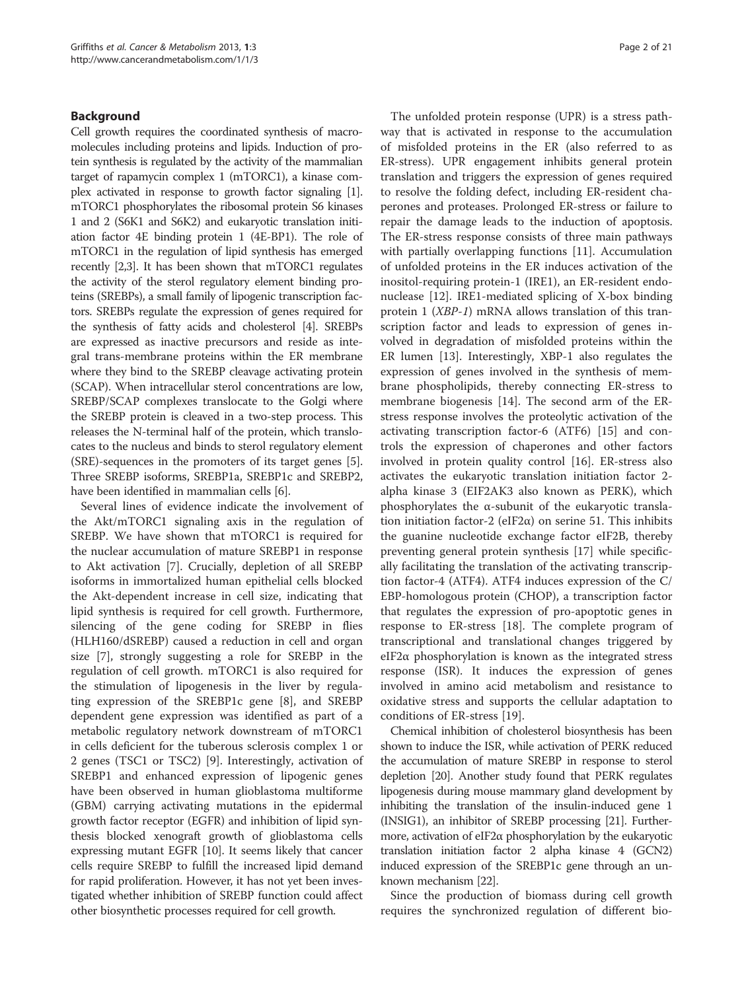## Background

Cell growth requires the coordinated synthesis of macromolecules including proteins and lipids. Induction of protein synthesis is regulated by the activity of the mammalian target of rapamycin complex 1 (mTORC1), a kinase complex activated in response to growth factor signaling [[1](#page-19-0)]. mTORC1 phosphorylates the ribosomal protein S6 kinases 1 and 2 (S6K1 and S6K2) and eukaryotic translation initiation factor 4E binding protein 1 (4E-BP1). The role of mTORC1 in the regulation of lipid synthesis has emerged recently [[2,3\]](#page-19-0). It has been shown that mTORC1 regulates the activity of the sterol regulatory element binding proteins (SREBPs), a small family of lipogenic transcription factors. SREBPs regulate the expression of genes required for the synthesis of fatty acids and cholesterol [\[4\]](#page-20-0). SREBPs are expressed as inactive precursors and reside as integral trans-membrane proteins within the ER membrane where they bind to the SREBP cleavage activating protein (SCAP). When intracellular sterol concentrations are low, SREBP/SCAP complexes translocate to the Golgi where the SREBP protein is cleaved in a two-step process. This releases the N-terminal half of the protein, which translocates to the nucleus and binds to sterol regulatory element (SRE)-sequences in the promoters of its target genes [[5](#page-20-0)]. Three SREBP isoforms, SREBP1a, SREBP1c and SREBP2, have been identified in mammalian cells [[6\]](#page-20-0).

Several lines of evidence indicate the involvement of the Akt/mTORC1 signaling axis in the regulation of SREBP. We have shown that mTORC1 is required for the nuclear accumulation of mature SREBP1 in response to Akt activation [\[7](#page-20-0)]. Crucially, depletion of all SREBP isoforms in immortalized human epithelial cells blocked the Akt-dependent increase in cell size, indicating that lipid synthesis is required for cell growth. Furthermore, silencing of the gene coding for SREBP in flies (HLH160/dSREBP) caused a reduction in cell and organ size [\[7](#page-20-0)], strongly suggesting a role for SREBP in the regulation of cell growth. mTORC1 is also required for the stimulation of lipogenesis in the liver by regulating expression of the SREBP1c gene [[8\]](#page-20-0), and SREBP dependent gene expression was identified as part of a metabolic regulatory network downstream of mTORC1 in cells deficient for the tuberous sclerosis complex 1 or 2 genes (TSC1 or TSC2) [\[9\]](#page-20-0). Interestingly, activation of SREBP1 and enhanced expression of lipogenic genes have been observed in human glioblastoma multiforme (GBM) carrying activating mutations in the epidermal growth factor receptor (EGFR) and inhibition of lipid synthesis blocked xenograft growth of glioblastoma cells expressing mutant EGFR [[10\]](#page-20-0). It seems likely that cancer cells require SREBP to fulfill the increased lipid demand for rapid proliferation. However, it has not yet been investigated whether inhibition of SREBP function could affect other biosynthetic processes required for cell growth.

The unfolded protein response (UPR) is a stress pathway that is activated in response to the accumulation of misfolded proteins in the ER (also referred to as ER-stress). UPR engagement inhibits general protein translation and triggers the expression of genes required to resolve the folding defect, including ER-resident chaperones and proteases. Prolonged ER-stress or failure to repair the damage leads to the induction of apoptosis. The ER-stress response consists of three main pathways with partially overlapping functions [[11](#page-20-0)]. Accumulation of unfolded proteins in the ER induces activation of the inositol-requiring protein-1 (IRE1), an ER-resident endonuclease [[12\]](#page-20-0). IRE1-mediated splicing of X-box binding protein 1 (XBP-1) mRNA allows translation of this transcription factor and leads to expression of genes involved in degradation of misfolded proteins within the ER lumen [[13\]](#page-20-0). Interestingly, XBP-1 also regulates the expression of genes involved in the synthesis of membrane phospholipids, thereby connecting ER-stress to membrane biogenesis [[14\]](#page-20-0). The second arm of the ERstress response involves the proteolytic activation of the activating transcription factor-6 (ATF6) [[15](#page-20-0)] and controls the expression of chaperones and other factors involved in protein quality control [[16](#page-20-0)]. ER-stress also activates the eukaryotic translation initiation factor 2 alpha kinase 3 (EIF2AK3 also known as PERK), which phosphorylates the α-subunit of the eukaryotic translation initiation factor-2 (eIF2 $\alpha$ ) on serine 51. This inhibits the guanine nucleotide exchange factor eIF2B, thereby preventing general protein synthesis [[17](#page-20-0)] while specifically facilitating the translation of the activating transcription factor-4 (ATF4). ATF4 induces expression of the C/ EBP-homologous protein (CHOP), a transcription factor that regulates the expression of pro-apoptotic genes in response to ER-stress [\[18](#page-20-0)]. The complete program of transcriptional and translational changes triggered by eIF2 $\alpha$  phosphorylation is known as the integrated stress response (ISR). It induces the expression of genes involved in amino acid metabolism and resistance to oxidative stress and supports the cellular adaptation to conditions of ER-stress [[19\]](#page-20-0).

Chemical inhibition of cholesterol biosynthesis has been shown to induce the ISR, while activation of PERK reduced the accumulation of mature SREBP in response to sterol depletion [\[20\]](#page-20-0). Another study found that PERK regulates lipogenesis during mouse mammary gland development by inhibiting the translation of the insulin-induced gene 1 (INSIG1), an inhibitor of SREBP processing [[21](#page-20-0)]. Furthermore, activation of eIF2α phosphorylation by the eukaryotic translation initiation factor 2 alpha kinase 4 (GCN2) induced expression of the SREBP1c gene through an unknown mechanism [[22](#page-20-0)].

Since the production of biomass during cell growth requires the synchronized regulation of different bio-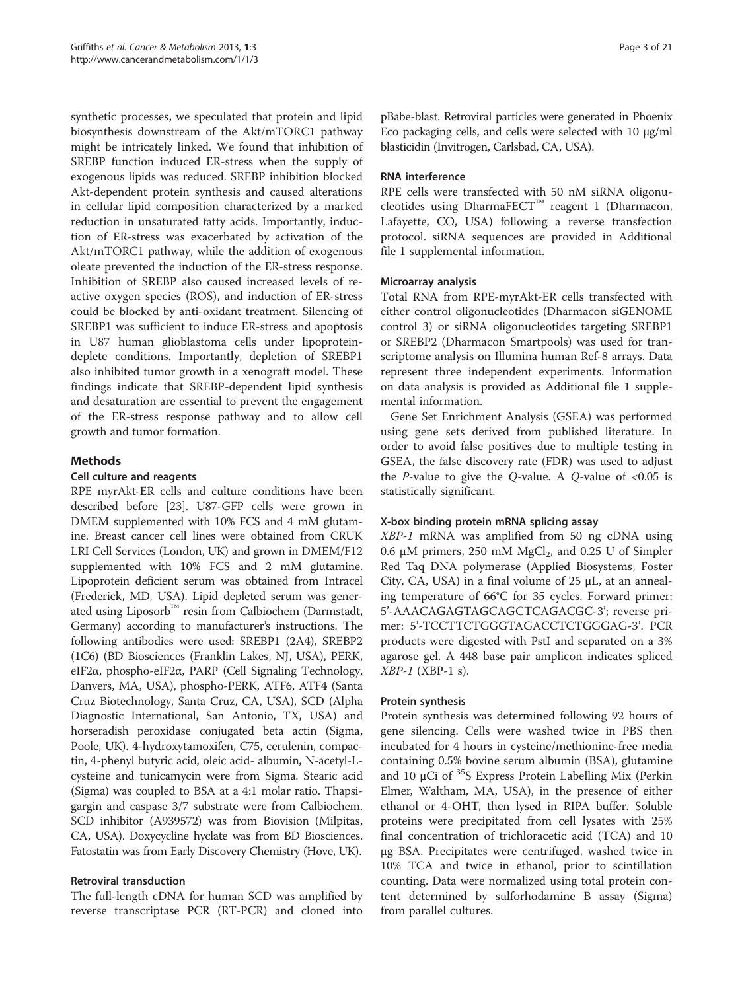synthetic processes, we speculated that protein and lipid biosynthesis downstream of the Akt/mTORC1 pathway might be intricately linked. We found that inhibition of SREBP function induced ER-stress when the supply of exogenous lipids was reduced. SREBP inhibition blocked Akt-dependent protein synthesis and caused alterations in cellular lipid composition characterized by a marked reduction in unsaturated fatty acids. Importantly, induction of ER-stress was exacerbated by activation of the Akt/mTORC1 pathway, while the addition of exogenous oleate prevented the induction of the ER-stress response. Inhibition of SREBP also caused increased levels of reactive oxygen species (ROS), and induction of ER-stress could be blocked by anti-oxidant treatment. Silencing of SREBP1 was sufficient to induce ER-stress and apoptosis in U87 human glioblastoma cells under lipoproteindeplete conditions. Importantly, depletion of SREBP1 also inhibited tumor growth in a xenograft model. These findings indicate that SREBP-dependent lipid synthesis and desaturation are essential to prevent the engagement of the ER-stress response pathway and to allow cell growth and tumor formation.

# Methods

# Cell culture and reagents

RPE myrAkt-ER cells and culture conditions have been described before [[23\]](#page-20-0). U87-GFP cells were grown in DMEM supplemented with 10% FCS and 4 mM glutamine. Breast cancer cell lines were obtained from CRUK LRI Cell Services (London, UK) and grown in DMEM/F12 supplemented with 10% FCS and 2 mM glutamine. Lipoprotein deficient serum was obtained from Intracel (Frederick, MD, USA). Lipid depleted serum was generated using Liposorb™ resin from Calbiochem (Darmstadt, Germany) according to manufacturer's instructions. The following antibodies were used: SREBP1 (2A4), SREBP2 (1C6) (BD Biosciences (Franklin Lakes, NJ, USA), PERK, eIF2α, phospho-eIF2α, PARP (Cell Signaling Technology, Danvers, MA, USA), phospho-PERK, ATF6, ATF4 (Santa Cruz Biotechnology, Santa Cruz, CA, USA), SCD (Alpha Diagnostic International, San Antonio, TX, USA) and horseradish peroxidase conjugated beta actin (Sigma, Poole, UK). 4-hydroxytamoxifen, C75, cerulenin, compactin, 4-phenyl butyric acid, oleic acid- albumin, N-acetyl-Lcysteine and tunicamycin were from Sigma. Stearic acid (Sigma) was coupled to BSA at a 4:1 molar ratio. Thapsigargin and caspase 3/7 substrate were from Calbiochem. SCD inhibitor (A939572) was from Biovision (Milpitas, CA, USA). Doxycycline hyclate was from BD Biosciences. Fatostatin was from Early Discovery Chemistry (Hove, UK).

# Retroviral transduction

The full-length cDNA for human SCD was amplified by reverse transcriptase PCR (RT-PCR) and cloned into

pBabe-blast. Retroviral particles were generated in Phoenix Eco packaging cells, and cells were selected with 10 μg/ml blasticidin (Invitrogen, Carlsbad, CA, USA).

# RNA interference

RPE cells were transfected with 50 nM siRNA oligonucleotides using DharmaFECT<sup>™</sup> reagent 1 (Dharmacon, Lafayette, CO, USA) following a reverse transfection protocol. siRNA sequences are provided in Additional file [1](#page-18-0) supplemental information.

# Microarray analysis

Total RNA from RPE-myrAkt-ER cells transfected with either control oligonucleotides (Dharmacon siGENOME control 3) or siRNA oligonucleotides targeting SREBP1 or SREBP2 (Dharmacon Smartpools) was used for transcriptome analysis on Illumina human Ref-8 arrays. Data represent three independent experiments. Information on data analysis is provided as Additional file [1](#page-18-0) supplemental information.

Gene Set Enrichment Analysis (GSEA) was performed using gene sets derived from published literature. In order to avoid false positives due to multiple testing in GSEA, the false discovery rate (FDR) was used to adjust the  $P$ -value to give the Q-value. A Q-value of <0.05 is statistically significant.

# X-box binding protein mRNA splicing assay

XBP-1 mRNA was amplified from 50 ng cDNA using 0.6 μM primers, 250 mM  $MgCl<sub>2</sub>$ , and 0.25 U of Simpler Red Taq DNA polymerase (Applied Biosystems, Foster City, CA, USA) in a final volume of 25 μL, at an annealing temperature of 66°C for 35 cycles. Forward primer: 5'-AAACAGAGTAGCAGCTCAGACGC-3'; reverse primer: 5'-TCCTTCTGGGTAGACCTCTGGGAG-3'. PCR products were digested with PstI and separated on a 3% agarose gel. A 448 base pair amplicon indicates spliced  $XBP-1$  (XBP-1 s).

# Protein synthesis

Protein synthesis was determined following 92 hours of gene silencing. Cells were washed twice in PBS then incubated for 4 hours in cysteine/methionine-free media containing 0.5% bovine serum albumin (BSA), glutamine and 10  $\mu$ Ci of <sup>35</sup>S Express Protein Labelling Mix (Perkin Elmer, Waltham, MA, USA), in the presence of either ethanol or 4-OHT, then lysed in RIPA buffer. Soluble proteins were precipitated from cell lysates with 25% final concentration of trichloracetic acid (TCA) and 10 μg BSA. Precipitates were centrifuged, washed twice in 10% TCA and twice in ethanol, prior to scintillation counting. Data were normalized using total protein content determined by sulforhodamine B assay (Sigma) from parallel cultures.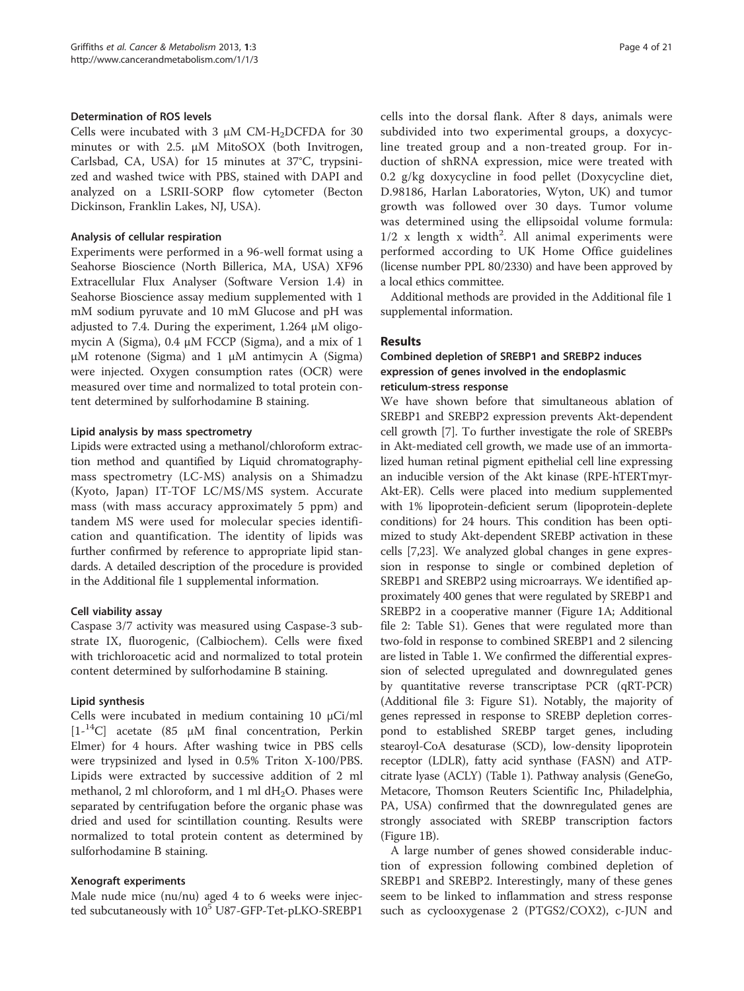#### Determination of ROS levels

Cells were incubated with 3  $\mu$ M CM-H<sub>2</sub>DCFDA for 30 minutes or with 2.5. μM MitoSOX (both Invitrogen, Carlsbad, CA, USA) for 15 minutes at 37°C, trypsinized and washed twice with PBS, stained with DAPI and analyzed on a LSRII-SORP flow cytometer (Becton Dickinson, Franklin Lakes, NJ, USA).

#### Analysis of cellular respiration

Experiments were performed in a 96-well format using a Seahorse Bioscience (North Billerica, MA, USA) XF96 Extracellular Flux Analyser (Software Version 1.4) in Seahorse Bioscience assay medium supplemented with 1 mM sodium pyruvate and 10 mM Glucose and pH was adjusted to 7.4. During the experiment, 1.264 μM oligomycin A (Sigma), 0.4 μM FCCP (Sigma), and a mix of 1 μM rotenone (Sigma) and 1 μM antimycin A (Sigma) were injected. Oxygen consumption rates (OCR) were measured over time and normalized to total protein content determined by sulforhodamine B staining.

## Lipid analysis by mass spectrometry

Lipids were extracted using a methanol/chloroform extraction method and quantified by Liquid chromatographymass spectrometry (LC-MS) analysis on a Shimadzu (Kyoto, Japan) IT-TOF LC/MS/MS system. Accurate mass (with mass accuracy approximately 5 ppm) and tandem MS were used for molecular species identification and quantification. The identity of lipids was further confirmed by reference to appropriate lipid standards. A detailed description of the procedure is provided in the Additional file [1](#page-18-0) supplemental information.

## Cell viability assay

Caspase 3/7 activity was measured using Caspase-3 substrate IX, fluorogenic, (Calbiochem). Cells were fixed with trichloroacetic acid and normalized to total protein content determined by sulforhodamine B staining.

## Lipid synthesis

Cells were incubated in medium containing 10 μCi/ml  $[1^{-14}C]$  acetate (85  $\mu$ M final concentration, Perkin Elmer) for 4 hours. After washing twice in PBS cells were trypsinized and lysed in 0.5% Triton X-100/PBS. Lipids were extracted by successive addition of 2 ml methanol, 2 ml chloroform, and 1 ml  $dH_2O$ . Phases were separated by centrifugation before the organic phase was dried and used for scintillation counting. Results were normalized to total protein content as determined by sulforhodamine B staining.

## Xenograft experiments

Male nude mice (nu/nu) aged 4 to 6 weeks were injected subcutaneously with 10<sup>5</sup> U87-GFP-Tet-pLKO-SREBP1 cells into the dorsal flank. After 8 days, animals were subdivided into two experimental groups, a doxycycline treated group and a non-treated group. For induction of shRNA expression, mice were treated with 0.2 g/kg doxycycline in food pellet (Doxycycline diet, D.98186, Harlan Laboratories, Wyton, UK) and tumor growth was followed over 30 days. Tumor volume was determined using the ellipsoidal volume formula:  $1/2$  x length x width<sup>2</sup>. All animal experiments were performed according to UK Home Office guidelines (license number PPL 80/2330) and have been approved by a local ethics committee.

Additional methods are provided in the Additional file [1](#page-18-0) supplemental information.

# Results

# Combined depletion of SREBP1 and SREBP2 induces expression of genes involved in the endoplasmic reticulum-stress response

We have shown before that simultaneous ablation of SREBP1 and SREBP2 expression prevents Akt-dependent cell growth [\[7](#page-20-0)]. To further investigate the role of SREBPs in Akt-mediated cell growth, we made use of an immortalized human retinal pigment epithelial cell line expressing an inducible version of the Akt kinase (RPE-hTERTmyr-Akt-ER). Cells were placed into medium supplemented with 1% lipoprotein-deficient serum (lipoprotein-deplete conditions) for 24 hours. This condition has been optimized to study Akt-dependent SREBP activation in these cells [\[7,23\]](#page-20-0). We analyzed global changes in gene expression in response to single or combined depletion of SREBP1 and SREBP2 using microarrays. We identified approximately 400 genes that were regulated by SREBP1 and SREBP2 in a cooperative manner (Figure [1A](#page-4-0); Additional file [2](#page-18-0): Table S1). Genes that were regulated more than two-fold in response to combined SREBP1 and 2 silencing are listed in Table [1](#page-5-0). We confirmed the differential expression of selected upregulated and downregulated genes by quantitative reverse transcriptase PCR (qRT-PCR) (Additional file [3](#page-18-0): Figure S1). Notably, the majority of genes repressed in response to SREBP depletion correspond to established SREBP target genes, including stearoyl-CoA desaturase (SCD), low-density lipoprotein receptor (LDLR), fatty acid synthase (FASN) and ATPcitrate lyase (ACLY) (Table [1\)](#page-5-0). Pathway analysis (GeneGo, Metacore, Thomson Reuters Scientific Inc, Philadelphia, PA, USA) confirmed that the downregulated genes are strongly associated with SREBP transcription factors (Figure [1B](#page-4-0)).

A large number of genes showed considerable induction of expression following combined depletion of SREBP1 and SREBP2. Interestingly, many of these genes seem to be linked to inflammation and stress response such as cyclooxygenase 2 (PTGS2/COX2), c-JUN and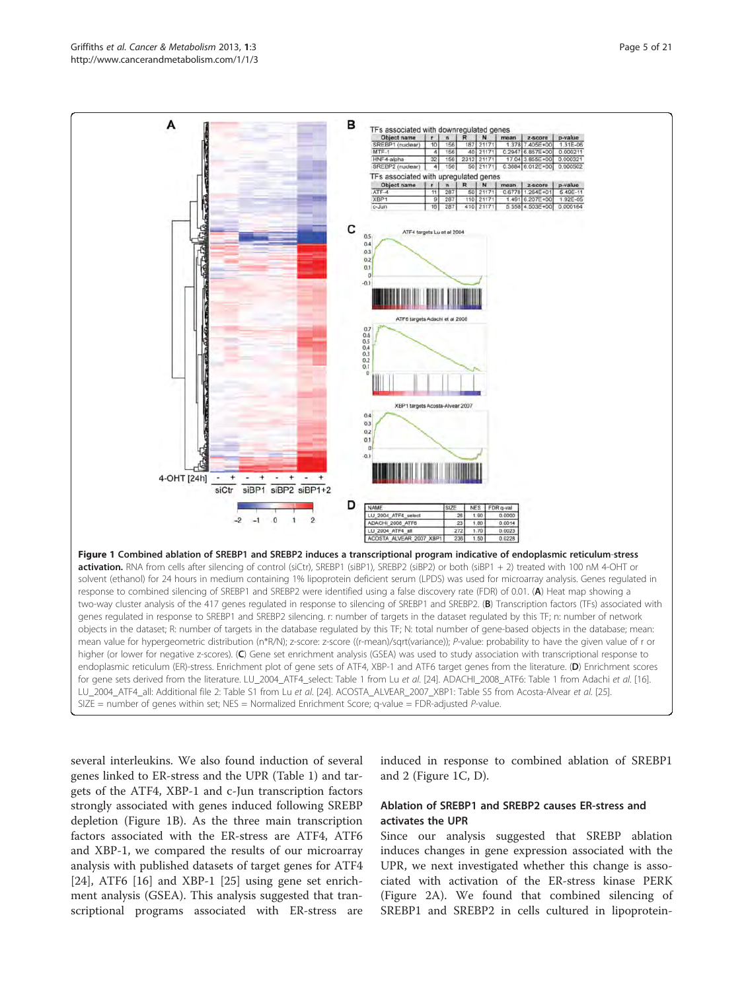<span id="page-4-0"></span>

several interleukins. We also found induction of several genes linked to ER-stress and the UPR (Table [1\)](#page-5-0) and targets of the ATF4, XBP-1 and c-Jun transcription factors strongly associated with genes induced following SREBP depletion (Figure 1B). As the three main transcription factors associated with the ER-stress are ATF4, ATF6 and XBP-1, we compared the results of our microarray analysis with published datasets of target genes for ATF4  $[24]$  $[24]$ , ATF6  $[16]$  $[16]$  and XBP-1  $[25]$  $[25]$  $[25]$  using gene set enrichment analysis (GSEA). This analysis suggested that transcriptional programs associated with ER-stress are

induced in response to combined ablation of SREBP1 and 2 (Figure 1C, D).

# Ablation of SREBP1 and SREBP2 causes ER-stress and activates the UPR

Since our analysis suggested that SREBP ablation induces changes in gene expression associated with the UPR, we next investigated whether this change is associated with activation of the ER-stress kinase PERK (Figure [2A\)](#page-9-0). We found that combined silencing of SREBP1 and SREBP2 in cells cultured in lipoprotein-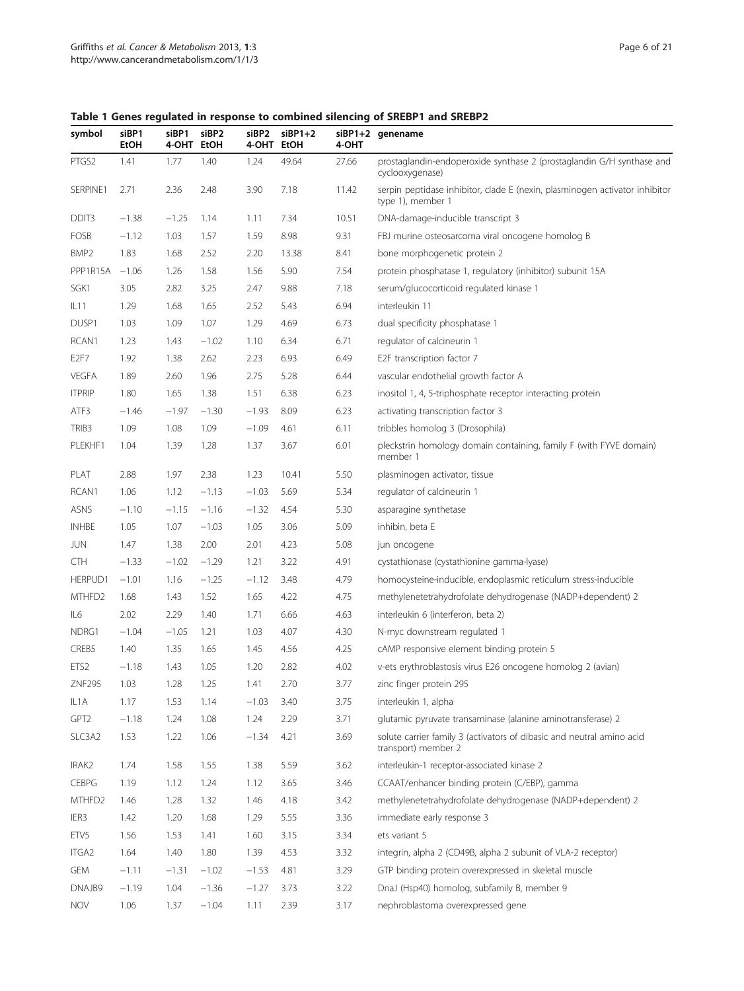<span id="page-5-0"></span>Table 1 Genes regulated in response to combined silencing of SREBP1 and SREBP2

| symbol            | siBP1<br>EtOH | siBP1<br>4-OHT EtOH | siBP2   | siBP2<br>4-OHT | $siBP1+2$<br>EtOH | 4-OHT | siBP1+2 genename                                                                                 |
|-------------------|---------------|---------------------|---------|----------------|-------------------|-------|--------------------------------------------------------------------------------------------------|
| PTGS2             | 1.41          | 1.77                | 1.40    | 1.24           | 49.64             | 27.66 | prostaglandin-endoperoxide synthase 2 (prostaglandin G/H synthase and<br>cyclooxygenase)         |
| SERPINE1          | 2.71          | 2.36                | 2.48    | 3.90           | 7.18              | 11.42 | serpin peptidase inhibitor, clade E (nexin, plasminogen activator inhibitor<br>type 1), member 1 |
| DDIT3             | $-1.38$       | $-1.25$             | 1.14    | 1.11           | 7.34              | 10.51 | DNA-damage-inducible transcript 3                                                                |
| FOSB              | $-1.12$       | 1.03                | 1.57    | 1.59           | 8.98              | 9.31  | FBJ murine osteosarcoma viral oncogene homolog B                                                 |
| BMP <sub>2</sub>  | 1.83          | 1.68                | 2.52    | 2.20           | 13.38             | 8.41  | bone morphogenetic protein 2                                                                     |
| PPP1R15A          | $-1.06$       | 1.26                | 1.58    | 1.56           | 5.90              | 7.54  | protein phosphatase 1, regulatory (inhibitor) subunit 15A                                        |
| SGK1              | 3.05          | 2.82                | 3.25    | 2.47           | 9.88              | 7.18  | serum/glucocorticoid regulated kinase 1                                                          |
| IL11              | 1.29          | 1.68                | 1.65    | 2.52           | 5.43              | 6.94  | interleukin 11                                                                                   |
| DUSP1             | 1.03          | 1.09                | 1.07    | 1.29           | 4.69              | 6.73  | dual specificity phosphatase 1                                                                   |
| RCAN1             | 1.23          | 1.43                | $-1.02$ | 1.10           | 6.34              | 6.71  | regulator of calcineurin 1                                                                       |
| E <sub>2F7</sub>  | 1.92          | 1.38                | 2.62    | 2.23           | 6.93              | 6.49  | E2F transcription factor 7                                                                       |
| <b>VEGFA</b>      | 1.89          | 2.60                | 1.96    | 2.75           | 5.28              | 6.44  | vascular endothelial growth factor A                                                             |
| <b>ITPRIP</b>     | 1.80          | 1.65                | 1.38    | 1.51           | 6.38              | 6.23  | inositol 1, 4, 5-triphosphate receptor interacting protein                                       |
| ATF3              | $-1.46$       | $-1.97$             | $-1.30$ | $-1.93$        | 8.09              | 6.23  | activating transcription factor 3                                                                |
| TRIB <sub>3</sub> | 1.09          | 1.08                | 1.09    | $-1.09$        | 4.61              | 6.11  | tribbles homolog 3 (Drosophila)                                                                  |
| PLEKHF1           | 1.04          | 1.39                | 1.28    | 1.37           | 3.67              | 6.01  | pleckstrin homology domain containing, family F (with FYVE domain)<br>member 1                   |
| PLAT              | 2.88          | 1.97                | 2.38    | 1.23           | 10.41             | 5.50  | plasminogen activator, tissue                                                                    |
| RCAN1             | 1.06          | 1.12                | $-1.13$ | $-1.03$        | 5.69              | 5.34  | regulator of calcineurin 1                                                                       |
| <b>ASNS</b>       | $-1.10$       | $-1.15$             | $-1.16$ | $-1.32$        | 4.54              | 5.30  | asparagine synthetase                                                                            |
| <b>INHBE</b>      | 1.05          | 1.07                | $-1.03$ | 1.05           | 3.06              | 5.09  | inhibin, beta E                                                                                  |
| <b>JUN</b>        | 1.47          | 1.38                | 2.00    | 2.01           | 4.23              | 5.08  | jun oncogene                                                                                     |
| <b>CTH</b>        | $-1.33$       | $-1.02$             | $-1.29$ | 1.21           | 3.22              | 4.91  | cystathionase (cystathionine gamma-lyase)                                                        |
| HERPUD1           | $-1.01$       | 1.16                | $-1.25$ | $-1.12$        | 3.48              | 4.79  | homocysteine-inducible, endoplasmic reticulum stress-inducible                                   |
| MTHFD2            | 1.68          | 1.43                | 1.52    | 1.65           | 4.22              | 4.75  | methylenetetrahydrofolate dehydrogenase (NADP+dependent) 2                                       |
| IL6               | 2.02          | 2.29                | 1.40    | 1.71           | 6.66              | 4.63  | interleukin 6 (interferon, beta 2)                                                               |
| NDRG1             | $-1.04$       | $-1.05$             | 1.21    | 1.03           | 4.07              | 4.30  | N-myc downstream regulated 1                                                                     |
| CREB5             | 1.40          | 1.35                | 1.65    | 1.45           | 4.56              | 4.25  | cAMP responsive element binding protein 5                                                        |
| ETS <sub>2</sub>  | $-1.18$       | 1.43                | 1.05    | 1.20           | 2.82              | 4.02  | v-ets erythroblastosis virus E26 oncogene homolog 2 (avian)                                      |
| ZNF295            | 1.03          | 1.28                | 1.25    | 1.41           | 2.70              | 3.77  | zinc finger protein 295                                                                          |
| IL1A              | 1.17          | 1.53                | 1.14    | $-1.03$        | 3.40              | 3.75  | interleukin 1, alpha                                                                             |
| GPT2              | $-1.18$       | 1.24                | 1.08    | 1.24           | 2.29              | 3.71  | glutamic pyruvate transaminase (alanine aminotransferase) 2                                      |
| SLC3A2            | 1.53          | 1.22                | 1.06    | $-1.34$        | 4.21              | 3.69  | solute carrier family 3 (activators of dibasic and neutral amino acid<br>transport) member 2     |
| IRAK2             | 1.74          | 1.58                | 1.55    | 1.38           | 5.59              | 3.62  | interleukin-1 receptor-associated kinase 2                                                       |
| <b>CEBPG</b>      | 1.19          | 1.12                | 1.24    | 1.12           | 3.65              | 3.46  | CCAAT/enhancer binding protein (C/EBP), gamma                                                    |
| MTHFD2            | 1.46          | 1.28                | 1.32    | 1.46           | 4.18              | 3.42  | methylenetetrahydrofolate dehydrogenase (NADP+dependent) 2                                       |
| IER3              | 1.42          | 1.20                | 1.68    | 1.29           | 5.55              | 3.36  | immediate early response 3                                                                       |
| ETV <sub>5</sub>  | 1.56          | 1.53                | 1.41    | 1.60           | 3.15              | 3.34  | ets variant 5                                                                                    |
| ITGA <sub>2</sub> | 1.64          | 1.40                | 1.80    | 1.39           | 4.53              | 3.32  | integrin, alpha 2 (CD49B, alpha 2 subunit of VLA-2 receptor)                                     |
| gem               | $-1.11$       | $-1.31$             | $-1.02$ | $-1.53$        | 4.81              | 3.29  | GTP binding protein overexpressed in skeletal muscle                                             |
| DNAJB9            | $-1.19$       | 1.04                | $-1.36$ | $-1.27$        | 3.73              | 3.22  | DnaJ (Hsp40) homolog, subfamily B, member 9                                                      |
| <b>NOV</b>        | 1.06          | 1.37                | $-1.04$ | 1.11           | 2.39              | 3.17  | nephroblastoma overexpressed gene                                                                |
|                   |               |                     |         |                |                   |       |                                                                                                  |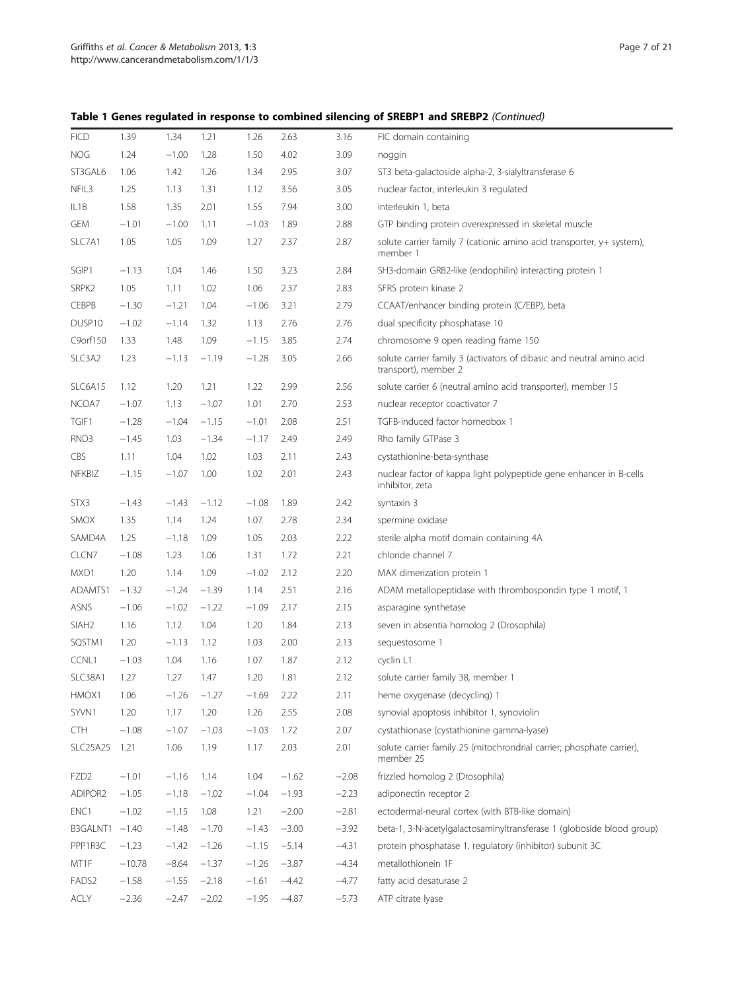Table 1 Genes regulated in response to combined silencing of SREBP1 and SREBP2 (Continued)

| <b>FICD</b>       | 1.39     | 1.34    | 1.21    | 1.26    | 2.63    | 3.16    | FIC domain containing                                                                         |
|-------------------|----------|---------|---------|---------|---------|---------|-----------------------------------------------------------------------------------------------|
| <b>NOG</b>        | 1.24     | $-1.00$ | 1.28    | 1.50    | 4.02    | 3.09    | noggin                                                                                        |
| ST3GAL6           | 1.06     | 1.42    | 1.26    | 1.34    | 2.95    | 3.07    | ST3 beta-galactoside alpha-2, 3-sialyltransferase 6                                           |
| NFIL3             | 1.25     | 1.13    | 1.31    | 1.12    | 3.56    | 3.05    | nuclear factor, interleukin 3 regulated                                                       |
| IL1B              | 1.58     | 1.35    | 2.01    | 1.55    | 7.94    | 3.00    | interleukin 1, beta                                                                           |
| <b>GEM</b>        | $-1.01$  | $-1.00$ | 1.11    | $-1.03$ | 1.89    | 2.88    | GTP binding protein overexpressed in skeletal muscle                                          |
| SLC7A1            | 1.05     | 1.05    | 1.09    | 1.27    | 2.37    | 2.87    | solute carrier family 7 (cationic amino acid transporter, y+ system),<br>member 1             |
| SGIP1             | $-1.13$  | 1.04    | 1.46    | 1.50    | 3.23    | 2.84    | SH3-domain GRB2-like (endophilin) interacting protein 1                                       |
| SRPK <sub>2</sub> | 1.05     | 1.11    | 1.02    | 1.06    | 2.37    | 2.83    | SFRS protein kinase 2                                                                         |
| <b>CEBPB</b>      | $-1.30$  | $-1.21$ | 1.04    | $-1.06$ | 3.21    | 2.79    | CCAAT/enhancer binding protein (C/EBP), beta                                                  |
| DUSP10            | $-1.02$  | $-1.14$ | 1.32    | 1.13    | 2.76    | 2.76    | dual specificity phosphatase 10                                                               |
| C9orf150          | 1.33     | 1.48    | 1.09    | $-1.15$ | 3.85    | 2.74    | chromosome 9 open reading frame 150                                                           |
| SLC3A2            | 1.23     | $-1.13$ | $-1.19$ | $-1.28$ | 3.05    | 2.66    | solute carrier family 3 (activators of dibasic and neutral amino acid<br>transport), member 2 |
| SLC6A15           | 1.12     | 1.20    | 1.21    | 1.22    | 2.99    | 2.56    | solute carrier 6 (neutral amino acid transporter), member 15                                  |
| NCOA7             | $-1.07$  | 1.13    | $-1.07$ | 1.01    | 2.70    | 2.53    | nuclear receptor coactivator 7                                                                |
| TGIF1             | $-1.28$  | $-1.04$ | $-1.15$ | $-1.01$ | 2.08    | 2.51    | TGFB-induced factor homeobox 1                                                                |
| RND3              | $-1.45$  | 1.03    | $-1.34$ | $-1.17$ | 2.49    | 2.49    | Rho family GTPase 3                                                                           |
| CBS               | 1.11     | 1.04    | 1.02    | 1.03    | 2.11    | 2.43    | cystathionine-beta-synthase                                                                   |
| <b>NFKBIZ</b>     | $-1.15$  | $-1.07$ | 1.00    | 1.02    | 2.01    | 2.43    | nuclear factor of kappa light polypeptide gene enhancer in B-cells<br>inhibitor, zeta         |
| STX3              | $-1.43$  | $-1.43$ | $-1.12$ | $-1.08$ | 1.89    | 2.42    | syntaxin 3                                                                                    |
| <b>SMOX</b>       | 1.35     | 1.14    | 1.24    | 1.07    | 2.78    | 2.34    | spermine oxidase                                                                              |
| SAMD4A            | 1.25     | $-1.18$ | 1.09    | 1.05    | 2.03    | 2.22    | sterile alpha motif domain containing 4A                                                      |
| CLCN7             | $-1.08$  | 1.23    | 1.06    | 1.31    | 1.72    | 2.21    | chloride channel 7                                                                            |
| MXD1              | 1.20     | 1.14    | 1.09    | $-1.02$ | 2.12    | 2.20    | MAX dimerization protein 1                                                                    |
| ADAMTS1           | $-1.32$  | $-1.24$ | $-1.39$ | 1.14    | 2.51    | 2.16    | ADAM metallopeptidase with thrombospondin type 1 motif, 1                                     |
| ASNS              | $-1.06$  | $-1.02$ | $-1.22$ | $-1.09$ | 2.17    | 2.15    | asparagine synthetase                                                                         |
| SIAH <sub>2</sub> | 1.16     | 1.12    | 1.04    | 1.20    | 1.84    | 2.13    | seven in absentia homolog 2 (Drosophila)                                                      |
| SQSTM1            | 1.20     | $-1.13$ | 1.12    | 1.03    | 2.00    | 2.13    | sequestosome 1                                                                                |
| CCNL1             | $-1.03$  | 1.04    | 1.16    | 1.07    | 1.87    | 2.12    | cyclin L1                                                                                     |
| SLC38A1           | 1.27     | 1.27    | 1.47    | 1.20    | 1.81    | 2.12    | solute carrier family 38, member 1                                                            |
| HMOX1             | 1.06     | $-1.26$ | $-1.27$ | $-1.69$ | 2.22    | 2.11    | heme oxygenase (decycling) 1                                                                  |
| SYVN1             | 1.20     | 1.17    | 1.20    | 1.26    | 2.55    | 2.08    | synovial apoptosis inhibitor 1, synoviolin                                                    |
| <b>CTH</b>        | $-1.08$  | $-1.07$ | $-1.03$ | $-1.03$ | 1.72    | 2.07    | cystathionase (cystathionine gamma-lyase)                                                     |
| <b>SLC25A25</b>   | 1.21     | 1.06    | 1.19    | 1.17    | 2.03    | 2.01    | solute carrier family 25 (mitochrondrial carrier; phosphate carrier),<br>member 25            |
| FZD <sub>2</sub>  | $-1.01$  | $-1.16$ | 1.14    | 1.04    | $-1.62$ | $-2.08$ | frizzled homolog 2 (Drosophila)                                                               |
| ADIPOR2           | $-1.05$  | $-1.18$ | $-1.02$ | $-1.04$ | $-1.93$ | $-2.23$ | adiponectin receptor 2                                                                        |
| ENC1              | $-1.02$  | $-1.15$ | 1.08    | 1.21    | $-2.00$ | $-2.81$ | ectodermal-neural cortex (with BTB-like domain)                                               |
| B3GALNT1          | $-1.40$  | $-1.48$ | $-1.70$ | $-1.43$ | $-3.00$ | $-3.92$ | beta-1, 3-N-acetylgalactosaminyltransferase 1 (globoside blood group)                         |
| PPP1R3C           | $-1.23$  | $-1.42$ | $-1.26$ | $-1.15$ | $-5.14$ | $-4.31$ | protein phosphatase 1, regulatory (inhibitor) subunit 3C                                      |
| MT1F              | $-10.78$ | $-8.64$ | $-1.37$ | $-1.26$ | $-3.87$ | $-4.34$ | metallothionein 1F                                                                            |
| FADS <sub>2</sub> | $-1.58$  | $-1.55$ | $-2.18$ | $-1.61$ | $-4.42$ | $-4.77$ | fatty acid desaturase 2                                                                       |
| ACLY              | $-2.36$  | $-2.47$ | $-2.02$ | $-1.95$ | $-4.87$ | $-5.73$ | ATP citrate lyase                                                                             |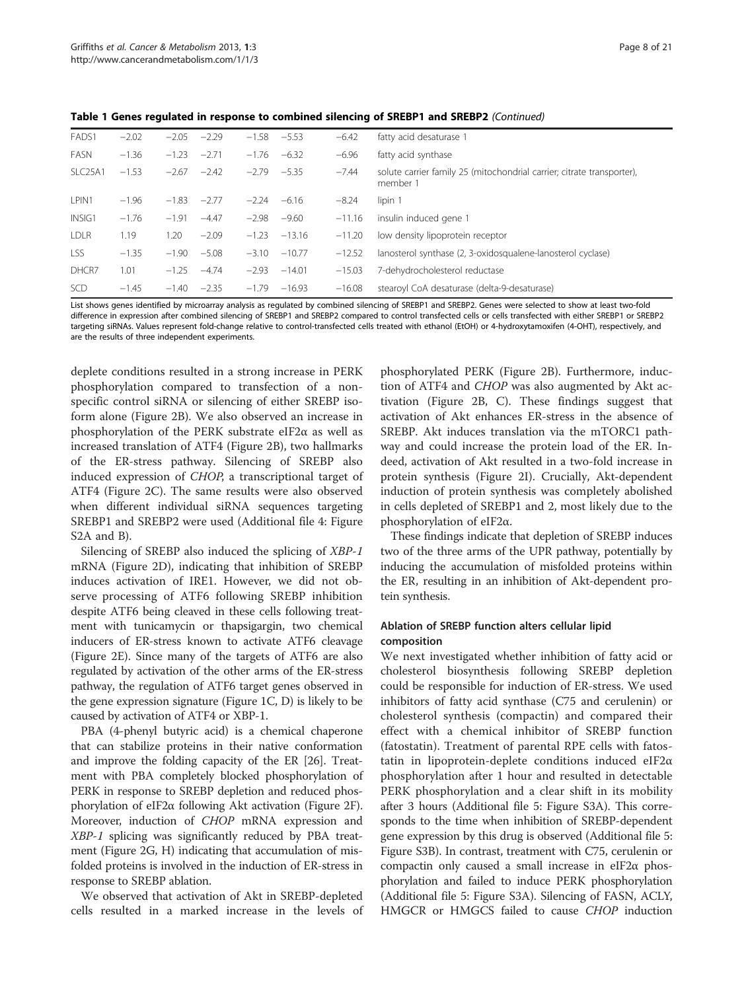Table 1 Genes regulated in response to combined silencing of SREBP1 and SREBP2 (Continued)

| FADS1                | $-2.02$ | $-2.05$ | $-2.29$ | $-1.58$ | $-5.53$  | $-6.42$  | fatty acid desaturase 1                                                            |
|----------------------|---------|---------|---------|---------|----------|----------|------------------------------------------------------------------------------------|
| FASN                 | $-1.36$ | $-1.23$ | $-2.71$ | $-1.76$ | $-6.32$  | $-6.96$  | fatty acid synthase                                                                |
| SLC <sub>25</sub> A1 | $-1.53$ | $-2.67$ | $-2.42$ | $-2.79$ | $-5.35$  | $-7.44$  | solute carrier family 25 (mitochondrial carrier; citrate transporter),<br>member 1 |
| LPIN1                | $-1.96$ | $-1.83$ | $-2.77$ | $-2.24$ | $-6.16$  | $-8.24$  | lipin 1                                                                            |
| INSIG1               | $-1.76$ | $-1.91$ | $-4.47$ | $-2.98$ | $-9.60$  | $-11.16$ | insulin induced gene 1                                                             |
| <b>LDLR</b>          | 1.19    | 1.20    | $-2.09$ | $-1.23$ | $-13.16$ | $-11.20$ | low density lipoprotein receptor                                                   |
| <b>LSS</b>           | $-1.35$ | $-1.90$ | $-5.08$ | $-3.10$ | $-10.77$ | $-12.52$ | lanosterol synthase (2, 3-oxidosqualene-lanosterol cyclase)                        |
| DHCR7                | 1.01    | $-1.25$ | $-4.74$ | $-2.93$ | $-14.01$ | $-15.03$ | 7-dehydrocholesterol reductase                                                     |
| <b>SCD</b>           | $-1.45$ | $-1.40$ | $-2.35$ | $-1.79$ | $-16.93$ | $-16.08$ | stearoyl CoA desaturase (delta-9-desaturase)                                       |

List shows genes identified by microarray analysis as regulated by combined silencing of SREBP1 and SREBP2. Genes were selected to show at least two-fold difference in expression after combined silencing of SREBP1 and SREBP2 compared to control transfected cells or cells transfected with either SREBP1 or SREBP2 targeting siRNAs. Values represent fold-change relative to control-transfected cells treated with ethanol (EtOH) or 4-hydroxytamoxifen (4-OHT), respectively, and are the results of three independent experiments.

deplete conditions resulted in a strong increase in PERK phosphorylation compared to transfection of a nonspecific control siRNA or silencing of either SREBP isoform alone (Figure [2B\)](#page-9-0). We also observed an increase in phosphorylation of the PERK substrate eIF2α as well as increased translation of ATF4 (Figure [2B](#page-9-0)), two hallmarks of the ER-stress pathway. Silencing of SREBP also induced expression of CHOP, a transcriptional target of ATF4 (Figure [2C\)](#page-9-0). The same results were also observed when different individual siRNA sequences targeting SREBP1 and SREBP2 were used (Additional file [4:](#page-18-0) Figure S2A and B).

Silencing of SREBP also induced the splicing of XBP-1 mRNA (Figure [2D\)](#page-9-0), indicating that inhibition of SREBP induces activation of IRE1. However, we did not observe processing of ATF6 following SREBP inhibition despite ATF6 being cleaved in these cells following treatment with tunicamycin or thapsigargin, two chemical inducers of ER-stress known to activate ATF6 cleavage (Figure [2E](#page-9-0)). Since many of the targets of ATF6 are also regulated by activation of the other arms of the ER-stress pathway, the regulation of ATF6 target genes observed in the gene expression signature (Figure [1C, D](#page-4-0)) is likely to be caused by activation of ATF4 or XBP-1.

PBA (4-phenyl butyric acid) is a chemical chaperone that can stabilize proteins in their native conformation and improve the folding capacity of the ER [\[26\]](#page-20-0). Treatment with PBA completely blocked phosphorylation of PERK in response to SREBP depletion and reduced phosphorylation of eIF2α following Akt activation (Figure [2F](#page-9-0)). Moreover, induction of CHOP mRNA expression and XBP-1 splicing was significantly reduced by PBA treatment (Figure [2G, H\)](#page-9-0) indicating that accumulation of misfolded proteins is involved in the induction of ER-stress in response to SREBP ablation.

We observed that activation of Akt in SREBP-depleted cells resulted in a marked increase in the levels of phosphorylated PERK (Figure [2B\)](#page-9-0). Furthermore, induction of ATF4 and CHOP was also augmented by Akt activation (Figure [2B, C](#page-9-0)). These findings suggest that activation of Akt enhances ER-stress in the absence of SREBP. Akt induces translation via the mTORC1 pathway and could increase the protein load of the ER. Indeed, activation of Akt resulted in a two-fold increase in protein synthesis (Figure [2I](#page-9-0)). Crucially, Akt-dependent induction of protein synthesis was completely abolished in cells depleted of SREBP1 and 2, most likely due to the phosphorylation of eIF2α.

These findings indicate that depletion of SREBP induces two of the three arms of the UPR pathway, potentially by inducing the accumulation of misfolded proteins within the ER, resulting in an inhibition of Akt-dependent protein synthesis.

# Ablation of SREBP function alters cellular lipid composition

We next investigated whether inhibition of fatty acid or cholesterol biosynthesis following SREBP depletion could be responsible for induction of ER-stress. We used inhibitors of fatty acid synthase (C75 and cerulenin) or cholesterol synthesis (compactin) and compared their effect with a chemical inhibitor of SREBP function (fatostatin). Treatment of parental RPE cells with fatostatin in lipoprotein-deplete conditions induced eIF2α phosphorylation after 1 hour and resulted in detectable PERK phosphorylation and a clear shift in its mobility after 3 hours (Additional file [5:](#page-18-0) Figure S3A). This corresponds to the time when inhibition of SREBP-dependent gene expression by this drug is observed (Additional file [5](#page-18-0): Figure S3B). In contrast, treatment with C75, cerulenin or compactin only caused a small increase in eIF2α phosphorylation and failed to induce PERK phosphorylation (Additional file [5:](#page-18-0) Figure S3A). Silencing of FASN, ACLY, HMGCR or HMGCS failed to cause CHOP induction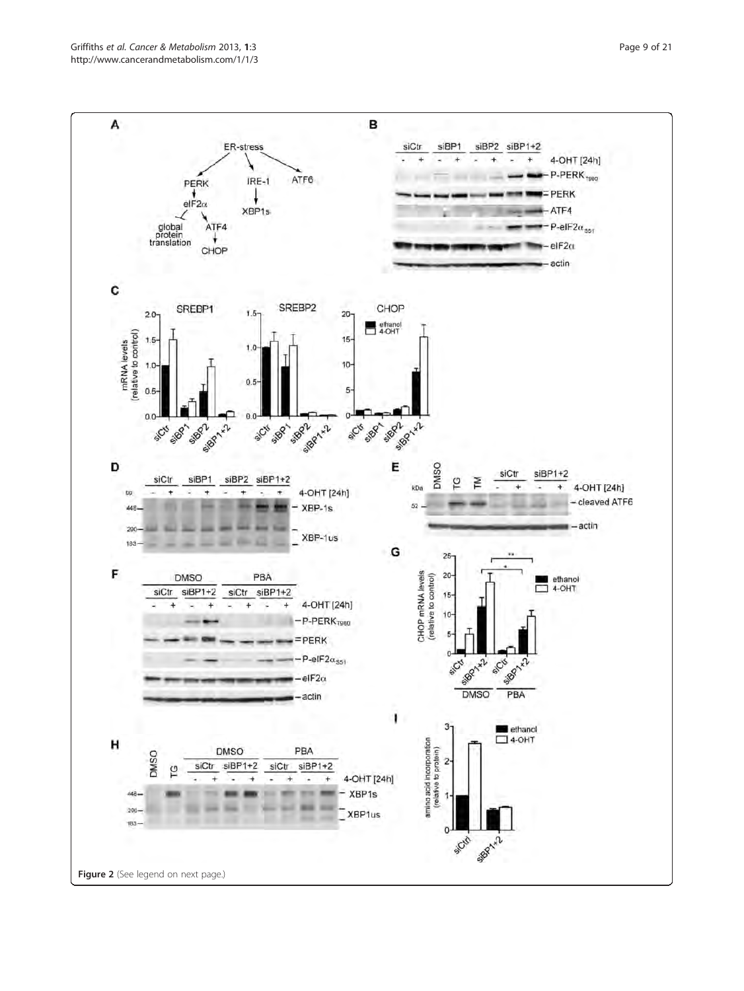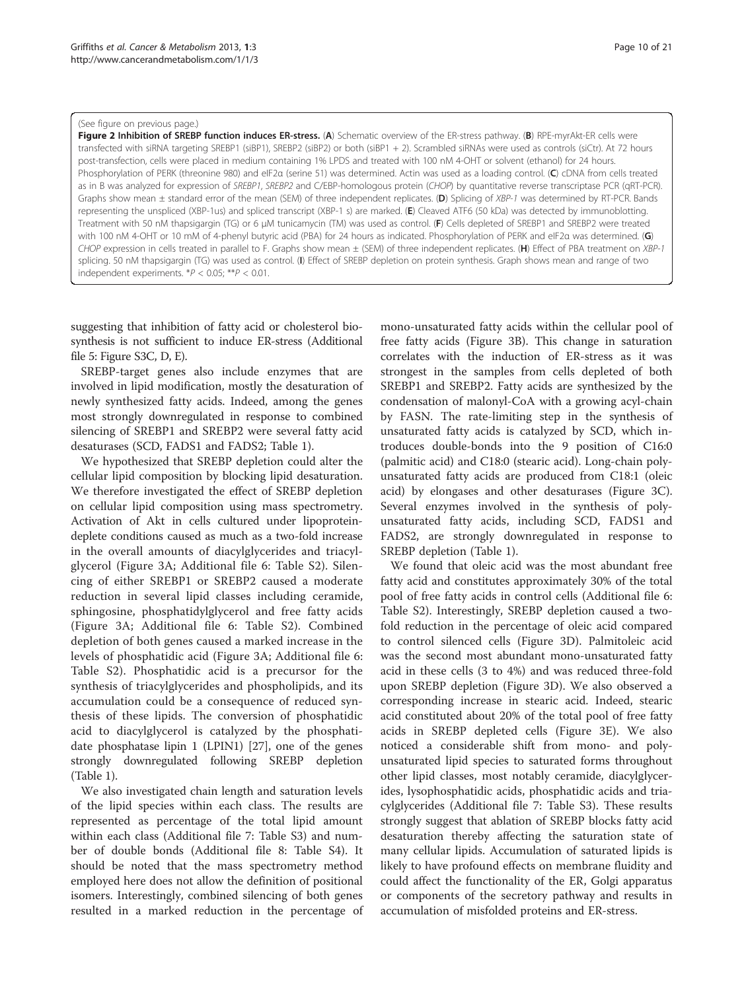#### <span id="page-9-0"></span>(See figure on previous page.)

Figure 2 Inhibition of SREBP function induces ER-stress. (A) Schematic overview of the ER-stress pathway. (B) RPE-myrAkt-ER cells were transfected with siRNA targeting SREBP1 (siBP1), SREBP2 (siBP2) or both (siBP1 + 2). Scrambled siRNAs were used as controls (siCtr). At 72 hours post-transfection, cells were placed in medium containing 1% LPDS and treated with 100 nM 4-OHT or solvent (ethanol) for 24 hours. Phosphorylation of PERK (threonine 980) and eIF2α (serine 51) was determined. Actin was used as a loading control. (C) cDNA from cells treated as in B was analyzed for expression of SREBP1, SREBP2 and C/EBP-homologous protein (CHOP) by quantitative reverse transcriptase PCR (qRT-PCR). Graphs show mean  $\pm$  standard error of the mean (SEM) of three independent replicates. (D) Splicing of XBP-1 was determined by RT-PCR. Bands representing the unspliced (XBP-1us) and spliced transcript (XBP-1 s) are marked. (E) Cleaved ATF6 (50 kDa) was detected by immunoblotting. Treatment with 50 nM thapsigargin (TG) or 6 μM tunicamycin (TM) was used as control. (F) Cells depleted of SREBP1 and SREBP2 were treated with 100 nM 4-OHT or 10 mM of 4-phenyl butyric acid (PBA) for 24 hours as indicated. Phosphorylation of PERK and eIF2a was determined. (G) CHOP expression in cells treated in parallel to F. Graphs show mean  $\pm$  (SEM) of three independent replicates. (H) Effect of PBA treatment on XBP-1 splicing. 50 nM thapsigargin (TG) was used as control. (I) Effect of SREBP depletion on protein synthesis. Graph shows mean and range of two independent experiments.  $*P < 0.05$ ;  $**P < 0.01$ .

suggesting that inhibition of fatty acid or cholesterol biosynthesis is not sufficient to induce ER-stress (Additional file [5:](#page-18-0) Figure S3C, D, E).

SREBP-target genes also include enzymes that are involved in lipid modification, mostly the desaturation of newly synthesized fatty acids. Indeed, among the genes most strongly downregulated in response to combined silencing of SREBP1 and SREBP2 were several fatty acid desaturases (SCD, FADS1 and FADS2; Table [1](#page-5-0)).

We hypothesized that SREBP depletion could alter the cellular lipid composition by blocking lipid desaturation. We therefore investigated the effect of SREBP depletion on cellular lipid composition using mass spectrometry. Activation of Akt in cells cultured under lipoproteindeplete conditions caused as much as a two-fold increase in the overall amounts of diacylglycerides and triacylglycerol (Figure [3A;](#page-10-0) Additional file [6](#page-19-0): Table S2). Silencing of either SREBP1 or SREBP2 caused a moderate reduction in several lipid classes including ceramide, sphingosine, phosphatidylglycerol and free fatty acids (Figure [3A;](#page-10-0) Additional file [6:](#page-19-0) Table S2). Combined depletion of both genes caused a marked increase in the levels of phosphatidic acid (Figure [3A](#page-10-0); Additional file [6](#page-19-0): Table S2). Phosphatidic acid is a precursor for the synthesis of triacylglycerides and phospholipids, and its accumulation could be a consequence of reduced synthesis of these lipids. The conversion of phosphatidic acid to diacylglycerol is catalyzed by the phosphatidate phosphatase lipin 1 (LPIN1) [\[27\]](#page-20-0), one of the genes strongly downregulated following SREBP depletion (Table [1](#page-5-0)).

We also investigated chain length and saturation levels of the lipid species within each class. The results are represented as percentage of the total lipid amount within each class (Additional file [7](#page-19-0): Table S3) and number of double bonds (Additional file [8:](#page-19-0) Table S4). It should be noted that the mass spectrometry method employed here does not allow the definition of positional isomers. Interestingly, combined silencing of both genes resulted in a marked reduction in the percentage of

mono-unsaturated fatty acids within the cellular pool of free fatty acids (Figure [3B\)](#page-10-0). This change in saturation correlates with the induction of ER-stress as it was strongest in the samples from cells depleted of both SREBP1 and SREBP2. Fatty acids are synthesized by the condensation of malonyl-CoA with a growing acyl-chain by FASN. The rate-limiting step in the synthesis of unsaturated fatty acids is catalyzed by SCD, which introduces double-bonds into the 9 position of C16:0 (palmitic acid) and C18:0 (stearic acid). Long-chain polyunsaturated fatty acids are produced from C18:1 (oleic acid) by elongases and other desaturases (Figure [3C](#page-10-0)). Several enzymes involved in the synthesis of polyunsaturated fatty acids, including SCD, FADS1 and FADS2, are strongly downregulated in response to SREBP depletion (Table [1\)](#page-5-0).

We found that oleic acid was the most abundant free fatty acid and constitutes approximately 30% of the total pool of free fatty acids in control cells (Additional file [6](#page-19-0): Table S2). Interestingly, SREBP depletion caused a twofold reduction in the percentage of oleic acid compared to control silenced cells (Figure [3D\)](#page-10-0). Palmitoleic acid was the second most abundant mono-unsaturated fatty acid in these cells (3 to 4%) and was reduced three-fold upon SREBP depletion (Figure [3D](#page-10-0)). We also observed a corresponding increase in stearic acid. Indeed, stearic acid constituted about 20% of the total pool of free fatty acids in SREBP depleted cells (Figure [3E](#page-10-0)). We also noticed a considerable shift from mono- and polyunsaturated lipid species to saturated forms throughout other lipid classes, most notably ceramide, diacylglycerides, lysophosphatidic acids, phosphatidic acids and triacylglycerides (Additional file [7:](#page-19-0) Table S3). These results strongly suggest that ablation of SREBP blocks fatty acid desaturation thereby affecting the saturation state of many cellular lipids. Accumulation of saturated lipids is likely to have profound effects on membrane fluidity and could affect the functionality of the ER, Golgi apparatus or components of the secretory pathway and results in accumulation of misfolded proteins and ER-stress.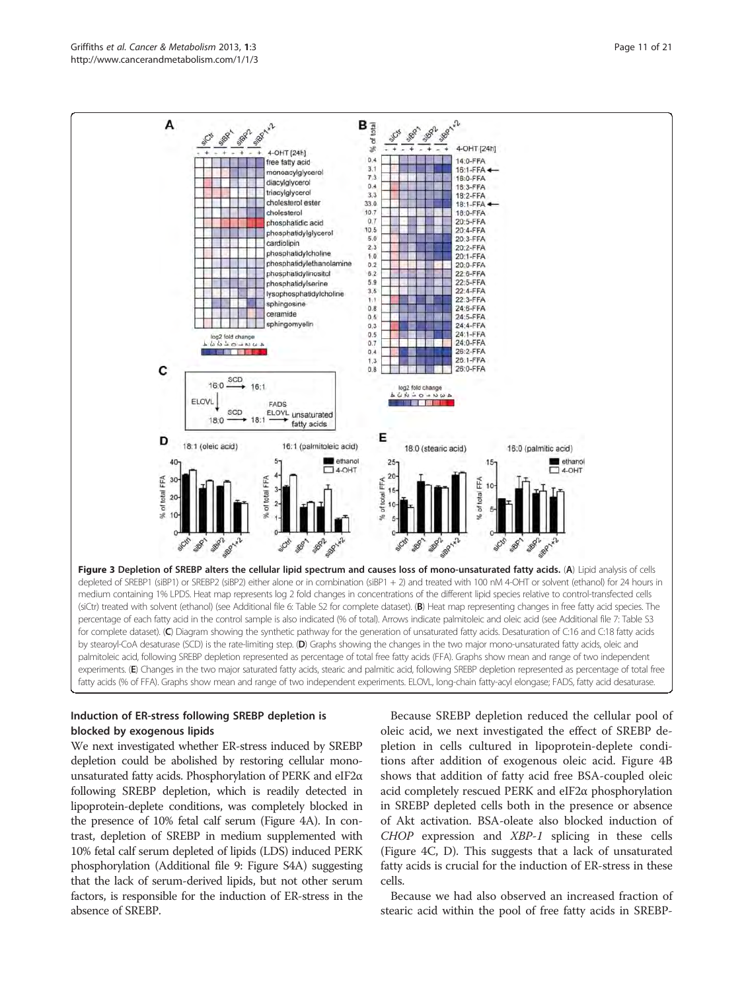

<span id="page-10-0"></span>

# Induction of ER-stress following SREBP depletion is blocked by exogenous lipids

We next investigated whether ER-stress induced by SREBP depletion could be abolished by restoring cellular monounsaturated fatty acids. Phosphorylation of PERK and eIF2α following SREBP depletion, which is readily detected in lipoprotein-deplete conditions, was completely blocked in the presence of 10% fetal calf serum (Figure [4A](#page-11-0)). In contrast, depletion of SREBP in medium supplemented with 10% fetal calf serum depleted of lipids (LDS) induced PERK phosphorylation (Additional file [9](#page-19-0): Figure S4A) suggesting that the lack of serum-derived lipids, but not other serum factors, is responsible for the induction of ER-stress in the absence of SREBP.

Because SREBP depletion reduced the cellular pool of oleic acid, we next investigated the effect of SREBP depletion in cells cultured in lipoprotein-deplete conditions after addition of exogenous oleic acid. Figure [4B](#page-11-0) shows that addition of fatty acid free BSA-coupled oleic acid completely rescued PERK and eIF2α phosphorylation in SREBP depleted cells both in the presence or absence of Akt activation. BSA-oleate also blocked induction of CHOP expression and XBP-1 splicing in these cells (Figure [4C, D](#page-11-0)). This suggests that a lack of unsaturated fatty acids is crucial for the induction of ER-stress in these cells.

Because we had also observed an increased fraction of stearic acid within the pool of free fatty acids in SREBP-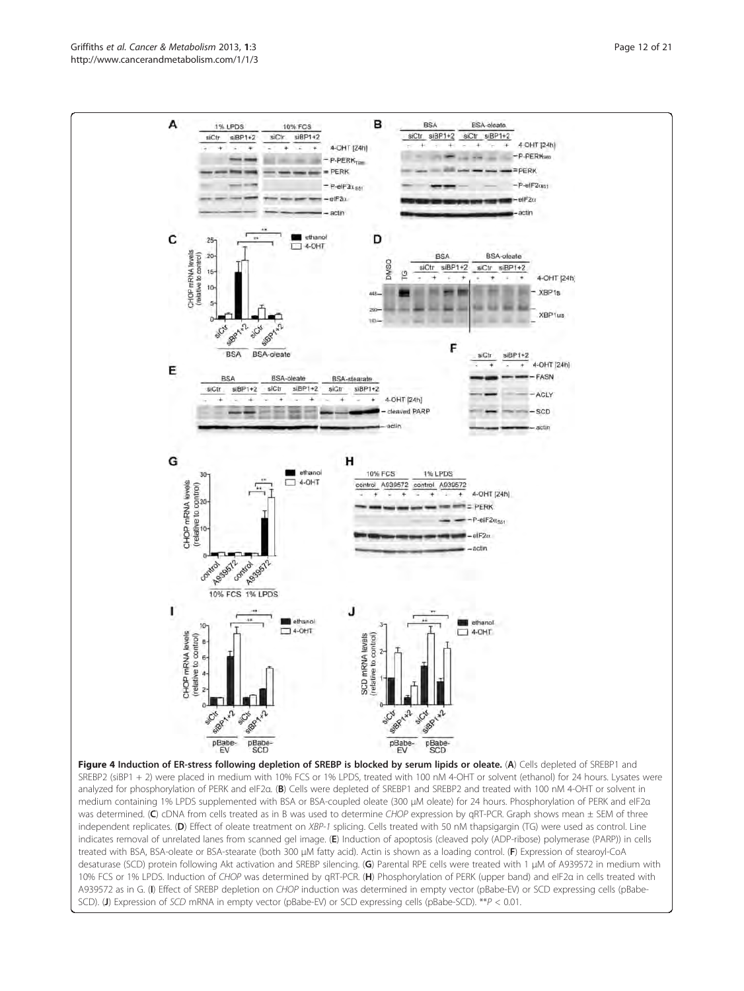<span id="page-11-0"></span>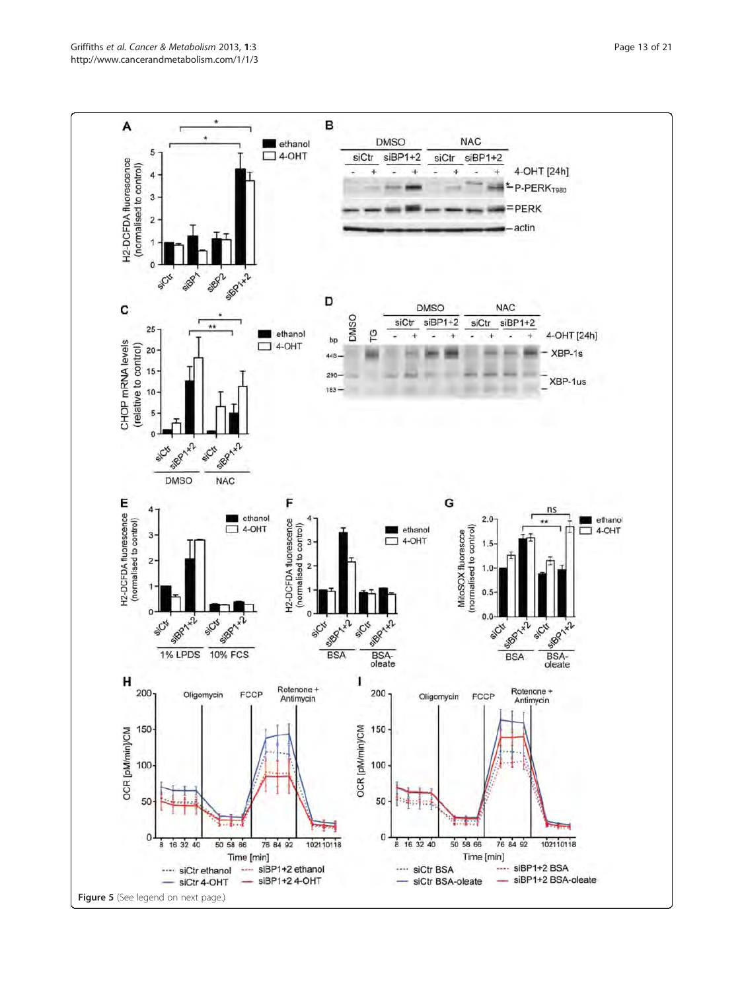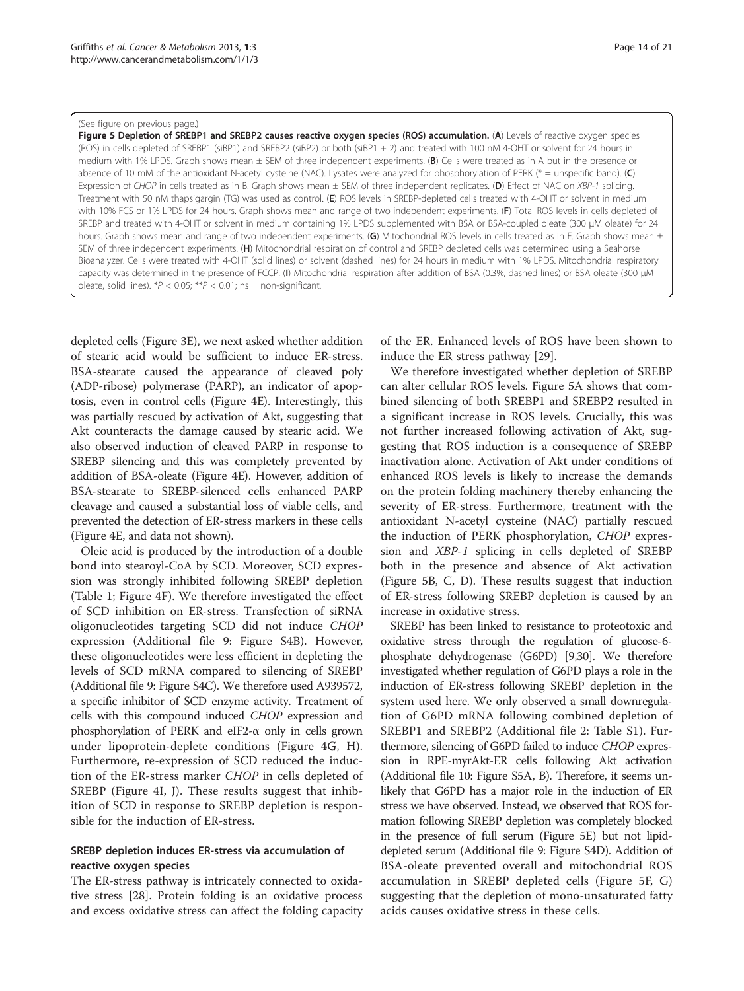#### <span id="page-13-0"></span>(See figure on previous page.)

Figure 5 Depletion of SREBP1 and SREBP2 causes reactive oxygen species (ROS) accumulation. (A) Levels of reactive oxygen species (ROS) in cells depleted of SREBP1 (siBP1) and SREBP2 (siBP2) or both (siBP1 + 2) and treated with 100 nM 4-OHT or solvent for 24 hours in medium with 1% LPDS. Graph shows mean ± SEM of three independent experiments. (B) Cells were treated as in A but in the presence or absence of 10 mM of the antioxidant N-acetyl cysteine (NAC). Lysates were analyzed for phosphorylation of PERK (\* = unspecific band). (C) Expression of CHOP in cells treated as in B. Graph shows mean ± SEM of three independent replicates. (D) Effect of NAC on XBP-1 splicing. Treatment with 50 nM thapsigargin (TG) was used as control. (E) ROS levels in SREBP-depleted cells treated with 4-OHT or solvent in medium with 10% FCS or 1% LPDS for 24 hours. Graph shows mean and range of two independent experiments. (F) Total ROS levels in cells depleted of SREBP and treated with 4-OHT or solvent in medium containing 1% LPDS supplemented with BSA or BSA-coupled oleate (300 μM oleate) for 24 hours. Graph shows mean and range of two independent experiments. (G) Mitochondrial ROS levels in cells treated as in F. Graph shows mean ± SEM of three independent experiments. (H) Mitochondrial respiration of control and SREBP depleted cells was determined using a Seahorse Bioanalyzer. Cells were treated with 4-OHT (solid lines) or solvent (dashed lines) for 24 hours in medium with 1% LPDS. Mitochondrial respiratory capacity was determined in the presence of FCCP. (I) Mitochondrial respiration after addition of BSA (0.3%, dashed lines) or BSA oleate (300 μM oleate, solid lines).  $*P < 0.05$ ;  $**P < 0.01$ ; ns = non-significant.

depleted cells (Figure [3E\)](#page-10-0), we next asked whether addition of stearic acid would be sufficient to induce ER-stress. BSA-stearate caused the appearance of cleaved poly (ADP-ribose) polymerase (PARP), an indicator of apoptosis, even in control cells (Figure [4E](#page-11-0)). Interestingly, this was partially rescued by activation of Akt, suggesting that Akt counteracts the damage caused by stearic acid. We also observed induction of cleaved PARP in response to SREBP silencing and this was completely prevented by addition of BSA-oleate (Figure [4E\)](#page-11-0). However, addition of BSA-stearate to SREBP-silenced cells enhanced PARP cleavage and caused a substantial loss of viable cells, and prevented the detection of ER-stress markers in these cells (Figure [4](#page-11-0)E, and data not shown).

Oleic acid is produced by the introduction of a double bond into stearoyl-CoA by SCD. Moreover, SCD expression was strongly inhibited following SREBP depletion (Table [1](#page-5-0); Figure [4F](#page-11-0)). We therefore investigated the effect of SCD inhibition on ER-stress. Transfection of siRNA oligonucleotides targeting SCD did not induce CHOP expression (Additional file [9](#page-19-0): Figure S4B). However, these oligonucleotides were less efficient in depleting the levels of SCD mRNA compared to silencing of SREBP (Additional file [9:](#page-19-0) Figure S4C). We therefore used A939572, a specific inhibitor of SCD enzyme activity. Treatment of cells with this compound induced CHOP expression and phosphorylation of PERK and eIF2-α only in cells grown under lipoprotein-deplete conditions (Figure [4G, H](#page-11-0)). Furthermore, re-expression of SCD reduced the induction of the ER-stress marker CHOP in cells depleted of SREBP (Figure [4I, J\)](#page-11-0). These results suggest that inhibition of SCD in response to SREBP depletion is responsible for the induction of ER-stress.

# SREBP depletion induces ER-stress via accumulation of reactive oxygen species

The ER-stress pathway is intricately connected to oxidative stress [\[28](#page-20-0)]. Protein folding is an oxidative process and excess oxidative stress can affect the folding capacity of the ER. Enhanced levels of ROS have been shown to induce the ER stress pathway [[29\]](#page-20-0).

We therefore investigated whether depletion of SREBP can alter cellular ROS levels. Figure 5A shows that combined silencing of both SREBP1 and SREBP2 resulted in a significant increase in ROS levels. Crucially, this was not further increased following activation of Akt, suggesting that ROS induction is a consequence of SREBP inactivation alone. Activation of Akt under conditions of enhanced ROS levels is likely to increase the demands on the protein folding machinery thereby enhancing the severity of ER-stress. Furthermore, treatment with the antioxidant N-acetyl cysteine (NAC) partially rescued the induction of PERK phosphorylation, CHOP expression and XBP-1 splicing in cells depleted of SREBP both in the presence and absence of Akt activation (Figure 5B, C, D). These results suggest that induction of ER-stress following SREBP depletion is caused by an increase in oxidative stress.

SREBP has been linked to resistance to proteotoxic and oxidative stress through the regulation of glucose-6 phosphate dehydrogenase (G6PD) [\[9,30\]](#page-20-0). We therefore investigated whether regulation of G6PD plays a role in the induction of ER-stress following SREBP depletion in the system used here. We only observed a small downregulation of G6PD mRNA following combined depletion of SREBP1 and SREBP2 (Additional file [2:](#page-18-0) Table S1). Furthermore, silencing of G6PD failed to induce CHOP expression in RPE-myrAkt-ER cells following Akt activation (Additional file [10](#page-19-0): Figure S5A, B). Therefore, it seems unlikely that G6PD has a major role in the induction of ER stress we have observed. Instead, we observed that ROS formation following SREBP depletion was completely blocked in the presence of full serum (Figure 5E) but not lipiddepleted serum (Additional file [9](#page-19-0): Figure S4D). Addition of BSA-oleate prevented overall and mitochondrial ROS accumulation in SREBP depleted cells (Figure 5F, G) suggesting that the depletion of mono-unsaturated fatty acids causes oxidative stress in these cells.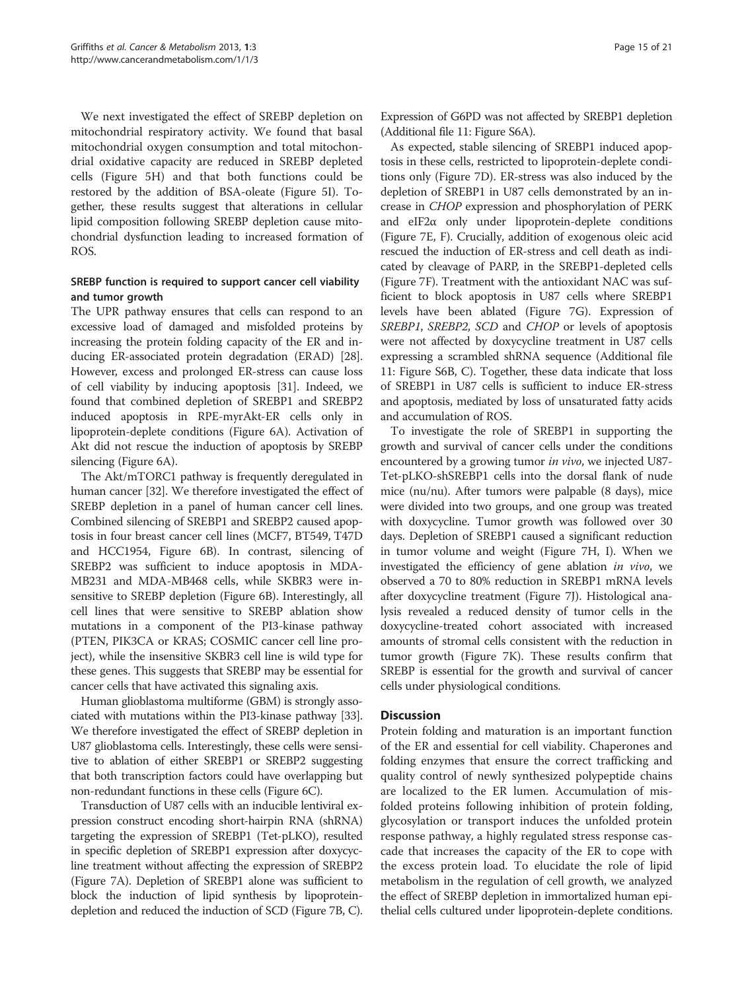We next investigated the effect of SREBP depletion on mitochondrial respiratory activity. We found that basal mitochondrial oxygen consumption and total mitochondrial oxidative capacity are reduced in SREBP depleted cells (Figure [5H\)](#page-13-0) and that both functions could be restored by the addition of BSA-oleate (Figure [5I\)](#page-13-0). Together, these results suggest that alterations in cellular lipid composition following SREBP depletion cause mitochondrial dysfunction leading to increased formation of ROS.

# SREBP function is required to support cancer cell viability and tumor growth

The UPR pathway ensures that cells can respond to an excessive load of damaged and misfolded proteins by increasing the protein folding capacity of the ER and inducing ER-associated protein degradation (ERAD) [[28](#page-20-0)]. However, excess and prolonged ER-stress can cause loss of cell viability by inducing apoptosis [[31](#page-20-0)]. Indeed, we found that combined depletion of SREBP1 and SREBP2 induced apoptosis in RPE-myrAkt-ER cells only in lipoprotein-deplete conditions (Figure [6A\)](#page-15-0). Activation of Akt did not rescue the induction of apoptosis by SREBP silencing (Figure [6A\)](#page-15-0).

The Akt/mTORC1 pathway is frequently deregulated in human cancer [[32](#page-20-0)]. We therefore investigated the effect of SREBP depletion in a panel of human cancer cell lines. Combined silencing of SREBP1 and SREBP2 caused apoptosis in four breast cancer cell lines (MCF7, BT549, T47D and HCC1954, Figure [6B\)](#page-15-0). In contrast, silencing of SREBP2 was sufficient to induce apoptosis in MDA-MB231 and MDA-MB468 cells, while SKBR3 were insensitive to SREBP depletion (Figure [6B\)](#page-15-0). Interestingly, all cell lines that were sensitive to SREBP ablation show mutations in a component of the PI3-kinase pathway (PTEN, PIK3CA or KRAS; COSMIC cancer cell line project), while the insensitive SKBR3 cell line is wild type for these genes. This suggests that SREBP may be essential for cancer cells that have activated this signaling axis.

Human glioblastoma multiforme (GBM) is strongly associated with mutations within the PI3-kinase pathway [[33](#page-20-0)]. We therefore investigated the effect of SREBP depletion in U87 glioblastoma cells. Interestingly, these cells were sensitive to ablation of either SREBP1 or SREBP2 suggesting that both transcription factors could have overlapping but non-redundant functions in these cells (Figure [6C](#page-15-0)).

Transduction of U87 cells with an inducible lentiviral expression construct encoding short-hairpin RNA (shRNA) targeting the expression of SREBP1 (Tet-pLKO), resulted in specific depletion of SREBP1 expression after doxycycline treatment without affecting the expression of SREBP2 (Figure [7A](#page-17-0)). Depletion of SREBP1 alone was sufficient to block the induction of lipid synthesis by lipoproteindepletion and reduced the induction of SCD (Figure [7B, C](#page-17-0)). Expression of G6PD was not affected by SREBP1 depletion (Additional file [11](#page-19-0): Figure S6A).

As expected, stable silencing of SREBP1 induced apoptosis in these cells, restricted to lipoprotein-deplete conditions only (Figure [7D\)](#page-17-0). ER-stress was also induced by the depletion of SREBP1 in U87 cells demonstrated by an increase in CHOP expression and phosphorylation of PERK and  $eIF2\alpha$  only under lipoprotein-deplete conditions (Figure [7E, F](#page-17-0)). Crucially, addition of exogenous oleic acid rescued the induction of ER-stress and cell death as indicated by cleavage of PARP, in the SREBP1-depleted cells (Figure [7F\)](#page-17-0). Treatment with the antioxidant NAC was sufficient to block apoptosis in U87 cells where SREBP1 levels have been ablated (Figure [7G\)](#page-17-0). Expression of SREBP1, SREBP2, SCD and CHOP or levels of apoptosis were not affected by doxycycline treatment in U87 cells expressing a scrambled shRNA sequence (Additional file [11](#page-19-0): Figure S6B, C). Together, these data indicate that loss of SREBP1 in U87 cells is sufficient to induce ER-stress and apoptosis, mediated by loss of unsaturated fatty acids and accumulation of ROS.

To investigate the role of SREBP1 in supporting the growth and survival of cancer cells under the conditions encountered by a growing tumor in vivo, we injected U87-Tet-pLKO-shSREBP1 cells into the dorsal flank of nude mice (nu/nu). After tumors were palpable (8 days), mice were divided into two groups, and one group was treated with doxycycline. Tumor growth was followed over 30 days. Depletion of SREBP1 caused a significant reduction in tumor volume and weight (Figure [7H, I](#page-17-0)). When we investigated the efficiency of gene ablation in vivo, we observed a 70 to 80% reduction in SREBP1 mRNA levels after doxycycline treatment (Figure [7J\)](#page-17-0). Histological analysis revealed a reduced density of tumor cells in the doxycycline-treated cohort associated with increased amounts of stromal cells consistent with the reduction in tumor growth (Figure [7K](#page-17-0)). These results confirm that SREBP is essential for the growth and survival of cancer cells under physiological conditions.

# **Discussion**

Protein folding and maturation is an important function of the ER and essential for cell viability. Chaperones and folding enzymes that ensure the correct trafficking and quality control of newly synthesized polypeptide chains are localized to the ER lumen. Accumulation of misfolded proteins following inhibition of protein folding, glycosylation or transport induces the unfolded protein response pathway, a highly regulated stress response cascade that increases the capacity of the ER to cope with the excess protein load. To elucidate the role of lipid metabolism in the regulation of cell growth, we analyzed the effect of SREBP depletion in immortalized human epithelial cells cultured under lipoprotein-deplete conditions.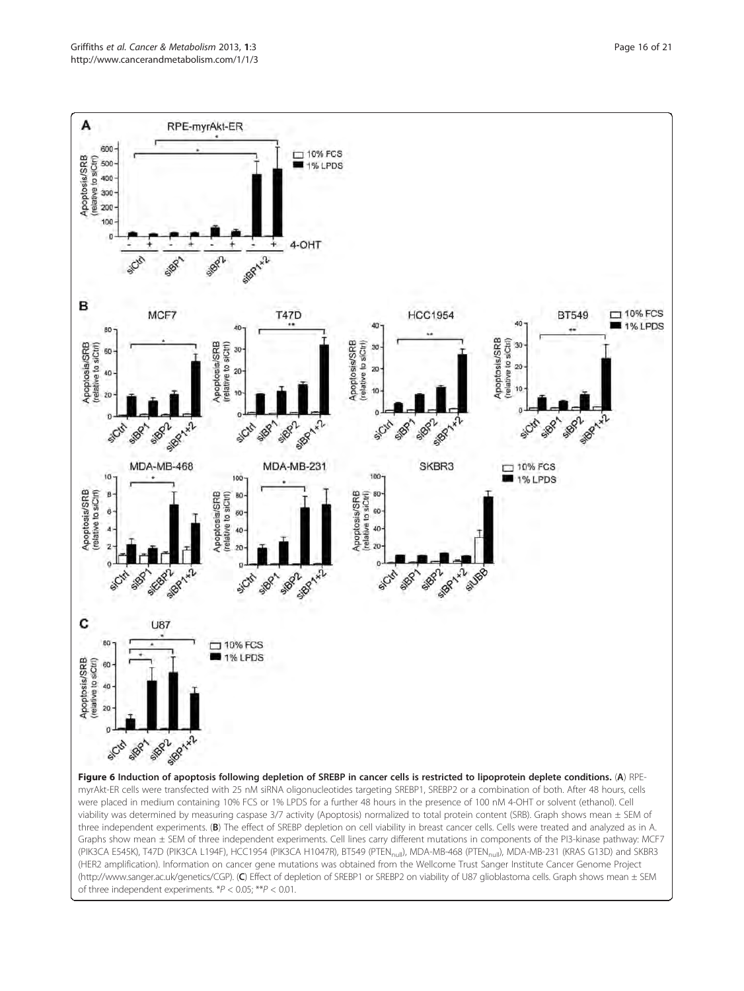<span id="page-15-0"></span>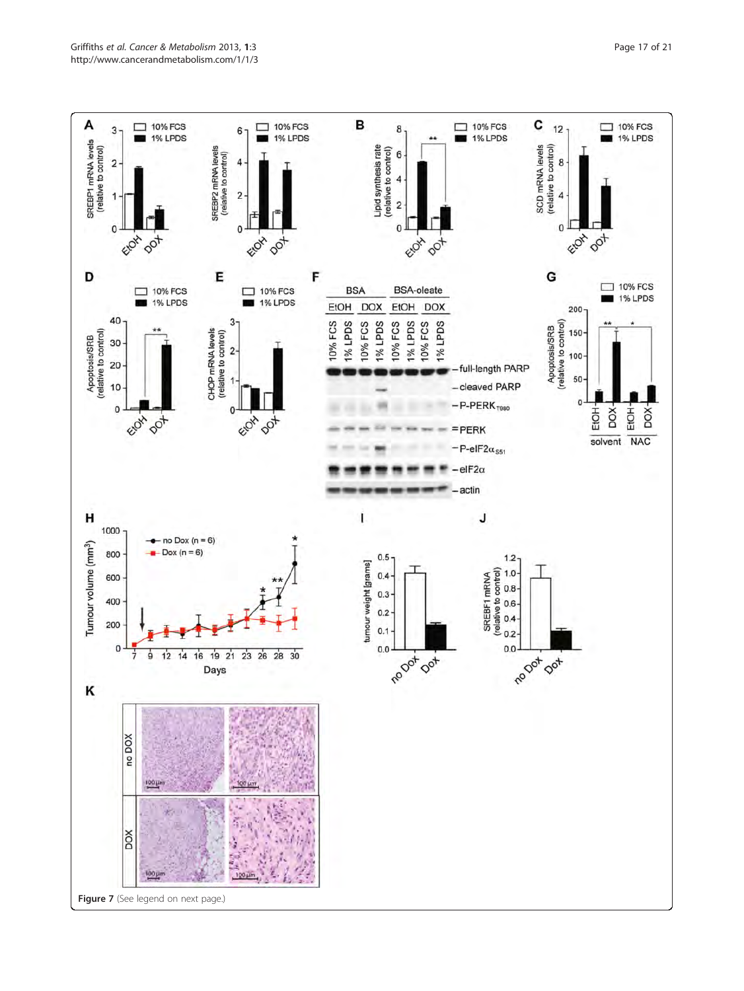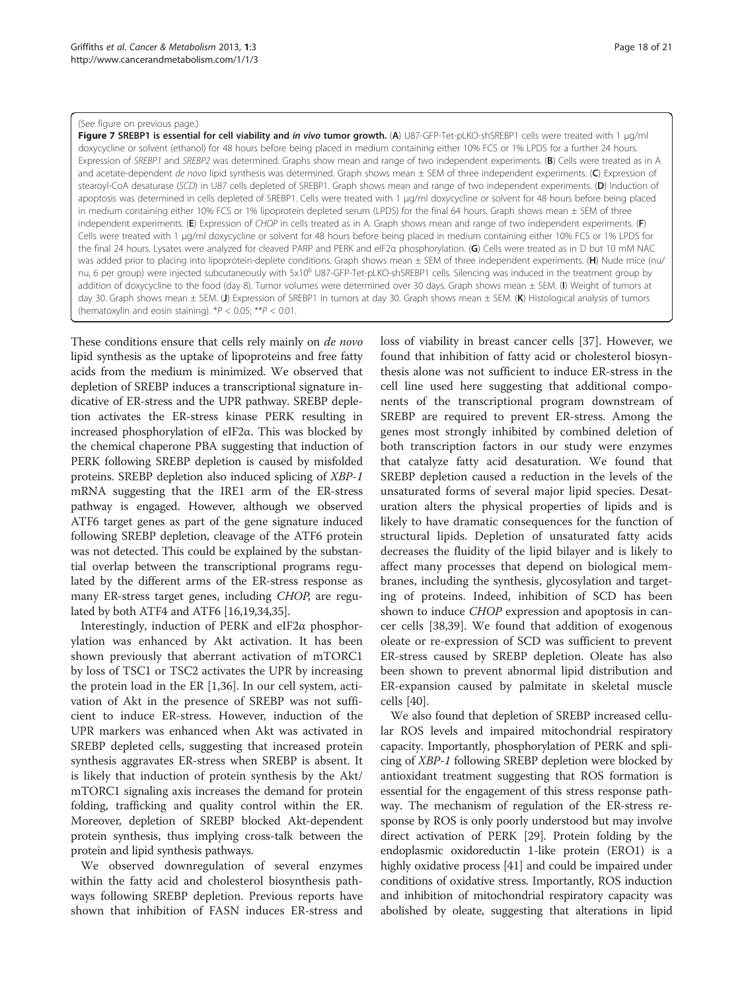#### <span id="page-17-0"></span>(See figure on previous page.)

Figure 7 SREBP1 is essential for cell viability and in vivo tumor growth. (A) U87-GFP-Tet-pLKO-shSREBP1 cells were treated with 1 μα/ml doxycycline or solvent (ethanol) for 48 hours before being placed in medium containing either 10% FCS or 1% LPDS for a further 24 hours. Expression of SREBP1 and SREBP2 was determined. Graphs show mean and range of two independent experiments. (B) Cells were treated as in A and acetate-dependent de novo lipid synthesis was determined. Graph shows mean  $\pm$  SEM of three independent experiments. (C) Expression of stearoyl-CoA desaturase (SCD) in U87 cells depleted of SREBP1. Graph shows mean and range of two independent experiments. (D) Induction of apoptosis was determined in cells depleted of SREBP1. Cells were treated with 1 μg/ml doxycycline or solvent for 48 hours before being placed in medium containing either 10% FCS or 1% lipoprotein depleted serum (LPDS) for the final 64 hours. Graph shows mean ± SEM of three independent experiments. (E) Expression of CHOP in cells treated as in A. Graph shows mean and range of two independent experiments. (F) Cells were treated with 1 μg/ml doxycycline or solvent for 48 hours before being placed in medium containing either 10% FCS or 1% LPDS for the final 24 hours. Lysates were analyzed for cleaved PARP and PERK and eIF2a phosphorylation. (G) Cells were treated as in D but 10 mM NAC was added prior to placing into lipoprotein-deplete conditions. Graph shows mean ± SEM of three independent experiments. (H) Nude mice (nu/ nu, 6 per group) were injected subcutaneously with 5x10<sup>6</sup> U87-GFP-Tet-pLKO-shSREBP1 cells. Silencing was induced in the treatment group by addition of doxycycline to the food (day 8). Tumor volumes were determined over 30 days. Graph shows mean  $\pm$  SEM. (I) Weight of tumors at day 30. Graph shows mean ± SEM. (J) Expression of SREBP1 in tumors at day 30. Graph shows mean ± SEM. (K) Histological analysis of tumors (hematoxylin and eosin staining).  $*P < 0.05$ ;  $**P < 0.01$ .

These conditions ensure that cells rely mainly on *de novo* lipid synthesis as the uptake of lipoproteins and free fatty acids from the medium is minimized. We observed that depletion of SREBP induces a transcriptional signature indicative of ER-stress and the UPR pathway. SREBP depletion activates the ER-stress kinase PERK resulting in increased phosphorylation of eIF2α. This was blocked by the chemical chaperone PBA suggesting that induction of PERK following SREBP depletion is caused by misfolded proteins. SREBP depletion also induced splicing of XBP-1 mRNA suggesting that the IRE1 arm of the ER-stress pathway is engaged. However, although we observed ATF6 target genes as part of the gene signature induced following SREBP depletion, cleavage of the ATF6 protein was not detected. This could be explained by the substantial overlap between the transcriptional programs regulated by the different arms of the ER-stress response as many ER-stress target genes, including CHOP, are regulated by both ATF4 and ATF6 [\[16,19,34](#page-20-0),[35](#page-20-0)].

Interestingly, induction of PERK and eIF2 $\alpha$  phosphorylation was enhanced by Akt activation. It has been shown previously that aberrant activation of mTORC1 by loss of TSC1 or TSC2 activates the UPR by increasing the protein load in the ER [\[1](#page-19-0)[,36](#page-20-0)]. In our cell system, activation of Akt in the presence of SREBP was not sufficient to induce ER-stress. However, induction of the UPR markers was enhanced when Akt was activated in SREBP depleted cells, suggesting that increased protein synthesis aggravates ER-stress when SREBP is absent. It is likely that induction of protein synthesis by the Akt/ mTORC1 signaling axis increases the demand for protein folding, trafficking and quality control within the ER. Moreover, depletion of SREBP blocked Akt-dependent protein synthesis, thus implying cross-talk between the protein and lipid synthesis pathways.

We observed downregulation of several enzymes within the fatty acid and cholesterol biosynthesis pathways following SREBP depletion. Previous reports have shown that inhibition of FASN induces ER-stress and loss of viability in breast cancer cells [[37](#page-20-0)]. However, we found that inhibition of fatty acid or cholesterol biosynthesis alone was not sufficient to induce ER-stress in the cell line used here suggesting that additional components of the transcriptional program downstream of SREBP are required to prevent ER-stress. Among the genes most strongly inhibited by combined deletion of both transcription factors in our study were enzymes that catalyze fatty acid desaturation. We found that SREBP depletion caused a reduction in the levels of the unsaturated forms of several major lipid species. Desaturation alters the physical properties of lipids and is

likely to have dramatic consequences for the function of structural lipids. Depletion of unsaturated fatty acids decreases the fluidity of the lipid bilayer and is likely to affect many processes that depend on biological membranes, including the synthesis, glycosylation and targeting of proteins. Indeed, inhibition of SCD has been shown to induce CHOP expression and apoptosis in cancer cells [[38](#page-20-0),[39](#page-20-0)]. We found that addition of exogenous oleate or re-expression of SCD was sufficient to prevent ER-stress caused by SREBP depletion. Oleate has also been shown to prevent abnormal lipid distribution and ER-expansion caused by palmitate in skeletal muscle cells [[40](#page-20-0)].

We also found that depletion of SREBP increased cellular ROS levels and impaired mitochondrial respiratory capacity. Importantly, phosphorylation of PERK and splicing of XBP-1 following SREBP depletion were blocked by antioxidant treatment suggesting that ROS formation is essential for the engagement of this stress response pathway. The mechanism of regulation of the ER-stress response by ROS is only poorly understood but may involve direct activation of PERK [[29](#page-20-0)]. Protein folding by the endoplasmic oxidoreductin 1-like protein (ERO1) is a highly oxidative process [\[41\]](#page-20-0) and could be impaired under conditions of oxidative stress. Importantly, ROS induction and inhibition of mitochondrial respiratory capacity was abolished by oleate, suggesting that alterations in lipid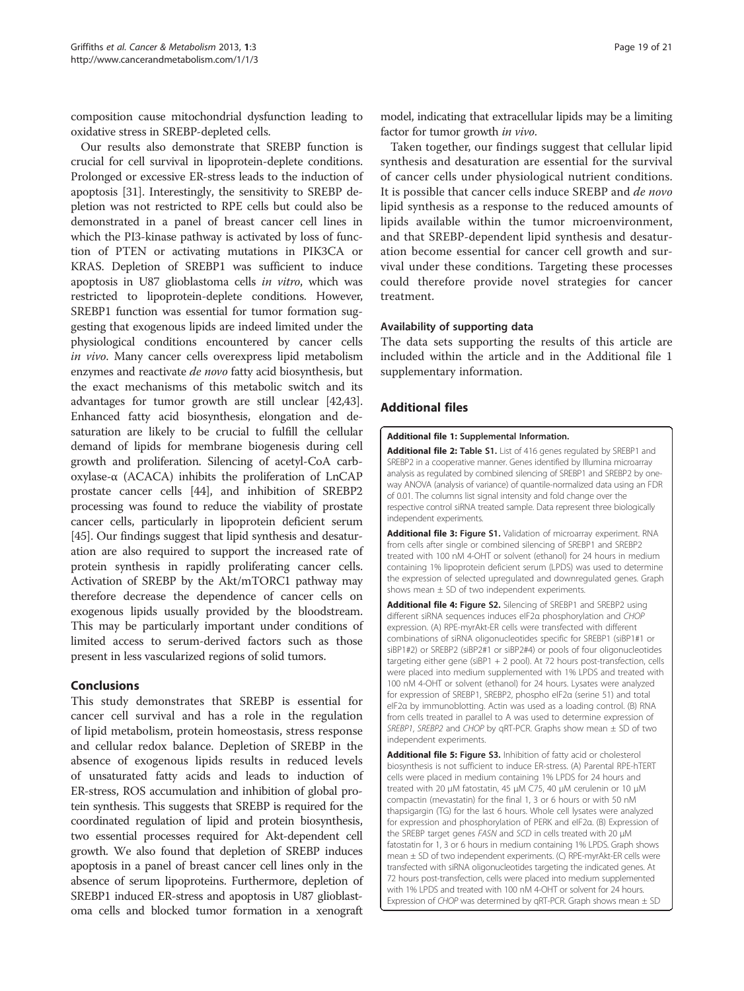<span id="page-18-0"></span>composition cause mitochondrial dysfunction leading to oxidative stress in SREBP-depleted cells.

Our results also demonstrate that SREBP function is crucial for cell survival in lipoprotein-deplete conditions. Prolonged or excessive ER-stress leads to the induction of apoptosis [\[31\]](#page-20-0). Interestingly, the sensitivity to SREBP depletion was not restricted to RPE cells but could also be demonstrated in a panel of breast cancer cell lines in which the PI3-kinase pathway is activated by loss of function of PTEN or activating mutations in PIK3CA or KRAS. Depletion of SREBP1 was sufficient to induce apoptosis in U87 glioblastoma cells in vitro, which was restricted to lipoprotein-deplete conditions. However, SREBP1 function was essential for tumor formation suggesting that exogenous lipids are indeed limited under the physiological conditions encountered by cancer cells in vivo. Many cancer cells overexpress lipid metabolism enzymes and reactivate de novo fatty acid biosynthesis, but the exact mechanisms of this metabolic switch and its advantages for tumor growth are still unclear [\[42,43](#page-20-0)]. Enhanced fatty acid biosynthesis, elongation and desaturation are likely to be crucial to fulfill the cellular demand of lipids for membrane biogenesis during cell growth and proliferation. Silencing of acetyl-CoA carboxylase-α (ACACA) inhibits the proliferation of LnCAP prostate cancer cells [\[44\]](#page-20-0), and inhibition of SREBP2 processing was found to reduce the viability of prostate cancer cells, particularly in lipoprotein deficient serum [[45](#page-20-0)]. Our findings suggest that lipid synthesis and desaturation are also required to support the increased rate of protein synthesis in rapidly proliferating cancer cells. Activation of SREBP by the Akt/mTORC1 pathway may therefore decrease the dependence of cancer cells on exogenous lipids usually provided by the bloodstream. This may be particularly important under conditions of limited access to serum-derived factors such as those present in less vascularized regions of solid tumors.

## Conclusions

This study demonstrates that SREBP is essential for cancer cell survival and has a role in the regulation of lipid metabolism, protein homeostasis, stress response and cellular redox balance. Depletion of SREBP in the absence of exogenous lipids results in reduced levels of unsaturated fatty acids and leads to induction of ER-stress, ROS accumulation and inhibition of global protein synthesis. This suggests that SREBP is required for the coordinated regulation of lipid and protein biosynthesis, two essential processes required for Akt-dependent cell growth. We also found that depletion of SREBP induces apoptosis in a panel of breast cancer cell lines only in the absence of serum lipoproteins. Furthermore, depletion of SREBP1 induced ER-stress and apoptosis in U87 glioblastoma cells and blocked tumor formation in a xenograft

model, indicating that extracellular lipids may be a limiting factor for tumor growth in vivo.

Taken together, our findings suggest that cellular lipid synthesis and desaturation are essential for the survival of cancer cells under physiological nutrient conditions. It is possible that cancer cells induce SREBP and *de novo* lipid synthesis as a response to the reduced amounts of lipids available within the tumor microenvironment, and that SREBP-dependent lipid synthesis and desaturation become essential for cancer cell growth and survival under these conditions. Targeting these processes could therefore provide novel strategies for cancer treatment.

#### Availability of supporting data

The data sets supporting the results of this article are included within the article and in the Additional file 1 supplementary information.

## Additional files

#### [Additional file 1:](http://www.biomedcentral.com/content/supplementary/2049-3002-1-3-S1.doc) Supplemental Information.

[Additional file 2:](http://www.biomedcentral.com/content/supplementary/2049-3002-1-3-S2.pdf) Table S1. List of 416 genes regulated by SREBP1 and SREBP2 in a cooperative manner. Genes identified by Illumina microarray analysis as regulated by combined silencing of SREBP1 and SREBP2 by oneway ANOVA (analysis of variance) of quantile-normalized data using an FDR of 0.01. The columns list signal intensity and fold change over the respective control siRNA treated sample. Data represent three biologically independent experiments.

[Additional file 3:](http://www.biomedcentral.com/content/supplementary/2049-3002-1-3-S3.tiff) Figure S1. Validation of microarray experiment. RNA from cells after single or combined silencing of SREBP1 and SREBP2 treated with 100 nM 4-OHT or solvent (ethanol) for 24 hours in medium containing 1% lipoprotein deficient serum (LPDS) was used to determine the expression of selected upregulated and downregulated genes. Graph shows mean  $\pm$  SD of two independent experiments.

[Additional file 4:](http://www.biomedcentral.com/content/supplementary/2049-3002-1-3-S4.tiff) Figure S2. Silencing of SREBP1 and SREBP2 using different siRNA sequences induces eIF2α phosphorylation and CHOP expression. (A) RPE-myrAkt-ER cells were transfected with different combinations of siRNA oligonucleotides specific for SREBP1 (siBP1#1 or siBP1#2) or SREBP2 (siBP2#1 or siBP2#4) or pools of four oligonucleotides targeting either gene (siBP1 + 2 pool). At 72 hours post-transfection, cells were placed into medium supplemented with 1% LPDS and treated with 100 nM 4-OHT or solvent (ethanol) for 24 hours. Lysates were analyzed for expression of SREBP1, SREBP2, phospho eIF2α (serine 51) and total eIF2α by immunoblotting. Actin was used as a loading control. (B) RNA from cells treated in parallel to A was used to determine expression of SREBP1, SREBP2 and CHOP by qRT-PCR. Graphs show mean  $\pm$  SD of two independent experiments.

[Additional file 5:](http://www.biomedcentral.com/content/supplementary/2049-3002-1-3-S5.tiff) Figure S3. Inhibition of fatty acid or cholesterol biosynthesis is not sufficient to induce ER-stress. (A) Parental RPE-hTERT cells were placed in medium containing 1% LPDS for 24 hours and treated with 20 μM fatostatin, 45 μM C75, 40 μM cerulenin or 10 μM compactin (mevastatin) for the final 1, 3 or 6 hours or with 50 nM thapsigargin (TG) for the last 6 hours. Whole cell lysates were analyzed for expression and phosphorylation of PERK and eIF2α. (B) Expression of the SREBP target genes FASN and SCD in cells treated with 20 μM fatostatin for 1, 3 or 6 hours in medium containing 1% LPDS. Graph shows mean ± SD of two independent experiments. (C) RPE-myrAkt-ER cells were transfected with siRNA oligonucleotides targeting the indicated genes. At 72 hours post-transfection, cells were placed into medium supplemented with 1% LPDS and treated with 100 nM 4-OHT or solvent for 24 hours. Expression of CHOP was determined by qRT-PCR. Graph shows mean ± SD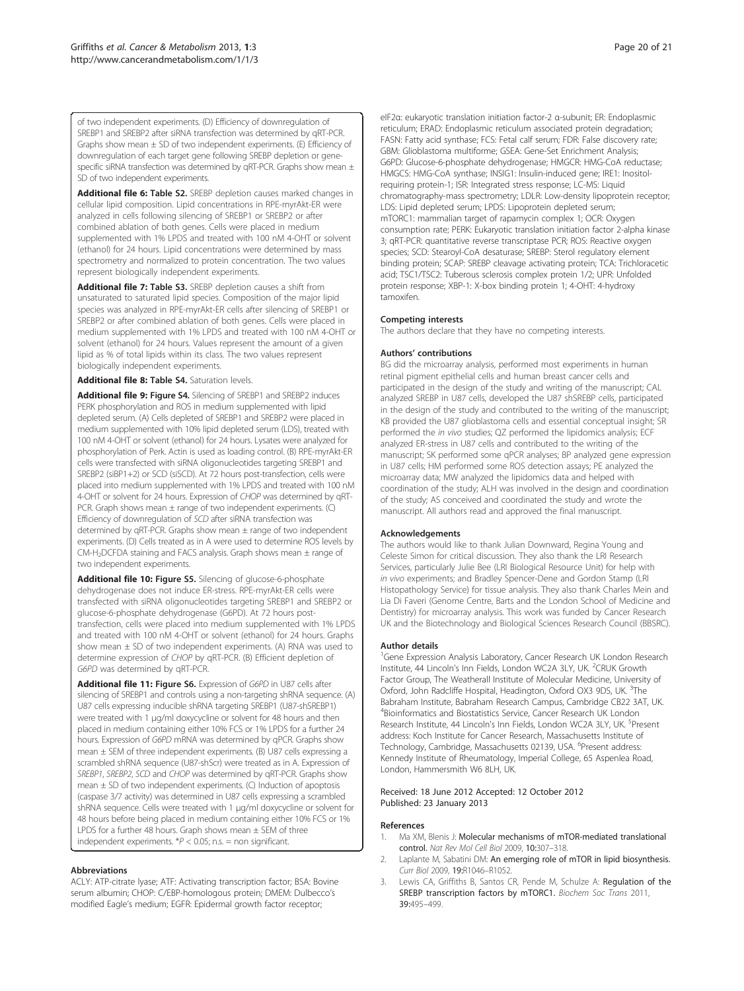<span id="page-19-0"></span>of two independent experiments. (D) Efficiency of downregulation of SREBP1 and SREBP2 after siRNA transfection was determined by qRT-PCR. Graphs show mean  $\pm$  SD of two independent experiments. (E) Efficiency of downregulation of each target gene following SREBP depletion or genespecific siRNA transfection was determined by qRT-PCR. Graphs show mean  $\pm$ SD of two independent experiments.

[Additional file 6:](http://www.biomedcentral.com/content/supplementary/2049-3002-1-3-S6.pdf) Table S2. SREBP depletion causes marked changes in cellular lipid composition. Lipid concentrations in RPE-myrAkt-ER were analyzed in cells following silencing of SREBP1 or SREBP2 or after combined ablation of both genes. Cells were placed in medium supplemented with 1% LPDS and treated with 100 nM 4-OHT or solvent (ethanol) for 24 hours. Lipid concentrations were determined by mass spectrometry and normalized to protein concentration. The two values represent biologically independent experiments.

[Additional file 7:](http://www.biomedcentral.com/content/supplementary/2049-3002-1-3-S7.pdf) Table S3. SREBP depletion causes a shift from unsaturated to saturated lipid species. Composition of the major lipid species was analyzed in RPE-myrAkt-ER cells after silencing of SREBP1 or SREBP2 or after combined ablation of both genes. Cells were placed in medium supplemented with 1% LPDS and treated with 100 nM 4-OHT or solvent (ethanol) for 24 hours. Values represent the amount of a given lipid as % of total lipids within its class. The two values represent biologically independent experiments.

#### [Additional file 8:](http://www.biomedcentral.com/content/supplementary/2049-3002-1-3-S8.pdf) Table S4. Saturation levels.

[Additional file 9:](http://www.biomedcentral.com/content/supplementary/2049-3002-1-3-S9.tiff) Figure S4. Silencing of SREBP1 and SREBP2 induces PERK phosphorylation and ROS in medium supplemented with lipid depleted serum. (A) Cells depleted of SREBP1 and SREBP2 were placed in medium supplemented with 10% lipid depleted serum (LDS), treated with 100 nM 4-OHT or solvent (ethanol) for 24 hours. Lysates were analyzed for phosphorylation of Perk. Actin is used as loading control. (B) RPE-myrAkt-ER cells were transfected with siRNA oligonucleotides targeting SREBP1 and SREBP2 (siBP1+2) or SCD (siSCD). At 72 hours post-transfection, cells were placed into medium supplemented with 1% LPDS and treated with 100 nM 4-OHT or solvent for 24 hours. Expression of CHOP was determined by qRT-PCR. Graph shows mean ± range of two independent experiments. (C) Efficiency of downregulation of SCD after siRNA transfection was determined by qRT-PCR. Graphs show mean ± range of two independent experiments. (D) Cells treated as in A were used to determine ROS levels by CM-H2DCFDA staining and FACS analysis. Graph shows mean ± range of two independent experiments.

[Additional file 10:](http://www.biomedcentral.com/content/supplementary/2049-3002-1-3-S10.tiff) Figure S5. Silencing of glucose-6-phosphate dehydrogenase does not induce ER-stress. RPE-myrAkt-ER cells were transfected with siRNA oligonucleotides targeting SREBP1 and SREBP2 or glucose-6-phosphate dehydrogenase (G6PD). At 72 hours posttransfection, cells were placed into medium supplemented with 1% LPDS and treated with 100 nM 4-OHT or solvent (ethanol) for 24 hours. Graphs show mean  $\pm$  SD of two independent experiments. (A) RNA was used to determine expression of CHOP by qRT-PCR. (B) Efficient depletion of G6PD was determined by qRT-PCR.

[Additional file 11:](http://www.biomedcentral.com/content/supplementary/2049-3002-1-3-S11.tiff) Figure S6. Expression of G6PD in U87 cells after silencing of SREBP1 and controls using a non-targeting shRNA sequence. (A) U87 cells expressing inducible shRNA targeting SREBP1 (U87-shSREBP1) were treated with 1 μg/ml doxycycline or solvent for 48 hours and then placed in medium containing either 10% FCS or 1% LPDS for a further 24 hours. Expression of G6PD mRNA was determined by qPCR. Graphs show mean ± SEM of three independent experiments. (B) U87 cells expressing a scrambled shRNA sequence (U87-shScr) were treated as in A. Expression of SREBP1, SREBP2, SCD and CHOP was determined by qRT-PCR. Graphs show mean  $\pm$  SD of two independent experiments. (C) Induction of apoptosis (caspase 3/7 activity) was determined in U87 cells expressing a scrambled shRNA sequence. Cells were treated with 1 μg/ml doxycycline or solvent for 48 hours before being placed in medium containing either 10% FCS or 1% LPDS for a further 48 hours. Graph shows mean  $\pm$  SEM of three independent experiments.  $P < 0.05$ ; n.s. = non significant.

#### Abbreviations

ACLY: ATP-citrate lyase; ATF: Activating transcription factor; BSA: Bovine serum albumin; CHOP: C/EBP-homologous protein; DMEM: Dulbecco's modified Eagle's medium; EGFR: Epidermal growth factor receptor;

eIF2α: eukaryotic translation initiation factor-2 α-subunit; ER: Endoplasmic reticulum; ERAD: Endoplasmic reticulum associated protein degradation; FASN: Fatty acid synthase; FCS: Fetal calf serum; FDR: False discovery rate; GBM: Glioblastoma multiforme; GSEA: Gene-Set Enrichment Analysis; G6PD: Glucose-6-phosphate dehydrogenase; HMGCR: HMG-CoA reductase; HMGCS: HMG-CoA synthase; INSIG1: Insulin-induced gene; IRE1: Inositolrequiring protein-1; ISR: Integrated stress response; LC-MS: Liquid chromatography-mass spectrometry; LDLR: Low-density lipoprotein receptor; LDS: Lipid depleted serum; LPDS: Lipoprotein depleted serum; mTORC1: mammalian target of rapamycin complex 1; OCR: Oxygen consumption rate; PERK: Eukaryotic translation initiation factor 2-alpha kinase 3; qRT-PCR: quantitative reverse transcriptase PCR; ROS: Reactive oxygen species; SCD: Stearoyl-CoA desaturase; SREBP: Sterol regulatory element binding protein; SCAP: SREBP cleavage activating protein; TCA: Trichloracetic acid; TSC1/TSC2: Tuberous sclerosis complex protein 1/2; UPR: Unfolded protein response; XBP-1: X-box binding protein 1; 4-OHT: 4-hydroxy tamoxifen.

#### Competing interests

The authors declare that they have no competing interests.

#### Authors' contributions

BG did the microarray analysis, performed most experiments in human retinal pigment epithelial cells and human breast cancer cells and participated in the design of the study and writing of the manuscript; CAL analyzed SREBP in U87 cells, developed the U87 shSREBP cells, participated in the design of the study and contributed to the writing of the manuscript; KB provided the U87 glioblastoma cells and essential conceptual insight; SR performed the in vivo studies; QZ performed the lipidomics analysis; ECF analyzed ER-stress in U87 cells and contributed to the writing of the manuscript; SK performed some qPCR analyses; BP analyzed gene expression in U87 cells; HM performed some ROS detection assays; PE analyzed the microarray data; MW analyzed the lipidomics data and helped with coordination of the study; ALH was involved in the design and coordination of the study; AS conceived and coordinated the study and wrote the manuscript. All authors read and approved the final manuscript.

#### Acknowledgements

The authors would like to thank Julian Downward, Regina Young and Celeste Simon for critical discussion. They also thank the LRI Research Services, particularly Julie Bee (LRI Biological Resource Unit) for help with in vivo experiments; and Bradley Spencer-Dene and Gordon Stamp (LRI Histopathology Service) for tissue analysis. They also thank Charles Mein and Lia Di Faveri (Genome Centre, Barts and the London School of Medicine and Dentistry) for microarray analysis. This work was funded by Cancer Research UK and the Biotechnology and Biological Sciences Research Council (BBSRC).

#### Author details

<sup>1</sup>Gene Expression Analysis Laboratory, Cancer Research UK London Research Institute, 44 Lincoln's Inn Fields, London WC2A 3LY, UK. <sup>2</sup>CRUK Growth Factor Group, The Weatherall Institute of Molecular Medicine, University of Oxford, John Radcliffe Hospital, Headington, Oxford OX3 9DS, UK. <sup>3</sup>The Babraham Institute, Babraham Research Campus, Cambridge CB22 3AT, UK. 4 Bioinformatics and Biostatistics Service, Cancer Research UK London Research Institute, 44 Lincoln's Inn Fields, London WC2A 3LY, UK. <sup>5</sup>Present address: Koch Institute for Cancer Research, Massachusetts Institute of Technology, Cambridge, Massachusetts 02139, USA. <sup>6</sup>Present address Kennedy Institute of Rheumatology, Imperial College, 65 Aspenlea Road, London, Hammersmith W6 8LH, UK.

#### Received: 18 June 2012 Accepted: 12 October 2012 Published: 23 January 2013

#### References

- 1. Ma XM, Blenis J: Molecular mechanisms of mTOR-mediated translational control. Nat Rev Mol Cell Biol 2009, 10:307–318.
- 2. Laplante M, Sabatini DM: An emerging role of mTOR in lipid biosynthesis. Curr Biol 2009, 19:R1046–R1052.
- Lewis CA, Griffiths B, Santos CR, Pende M, Schulze A: Regulation of the SREBP transcription factors by mTORC1. Biochem Soc Trans 2011, 39:495–499.